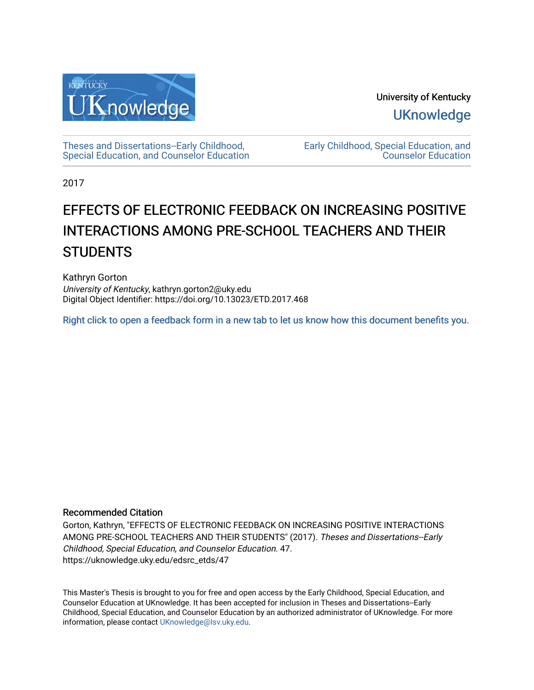

University of Kentucky **UKnowledge** 

[Theses and Dissertations--Early Childhood,](https://uknowledge.uky.edu/edsrc_etds)  [Special Education, and Counselor Education](https://uknowledge.uky.edu/edsrc_etds) [Early Childhood, Special Education, and](https://uknowledge.uky.edu/edsrc)  [Counselor Education](https://uknowledge.uky.edu/edsrc) 

2017

# EFFECTS OF ELECTRONIC FEEDBACK ON INCREASING POSITIVE INTERACTIONS AMONG PRE-SCHOOL TEACHERS AND THEIR **STUDENTS**

Kathryn Gorton University of Kentucky, kathryn.gorton2@uky.edu Digital Object Identifier: https://doi.org/10.13023/ETD.2017.468

[Right click to open a feedback form in a new tab to let us know how this document benefits you.](https://uky.az1.qualtrics.com/jfe/form/SV_9mq8fx2GnONRfz7)

### Recommended Citation

Gorton, Kathryn, "EFFECTS OF ELECTRONIC FEEDBACK ON INCREASING POSITIVE INTERACTIONS AMONG PRE-SCHOOL TEACHERS AND THEIR STUDENTS" (2017). Theses and Dissertations--Early Childhood, Special Education, and Counselor Education. 47. https://uknowledge.uky.edu/edsrc\_etds/47

This Master's Thesis is brought to you for free and open access by the Early Childhood, Special Education, and Counselor Education at UKnowledge. It has been accepted for inclusion in Theses and Dissertations--Early Childhood, Special Education, and Counselor Education by an authorized administrator of UKnowledge. For more information, please contact [UKnowledge@lsv.uky.edu](mailto:UKnowledge@lsv.uky.edu).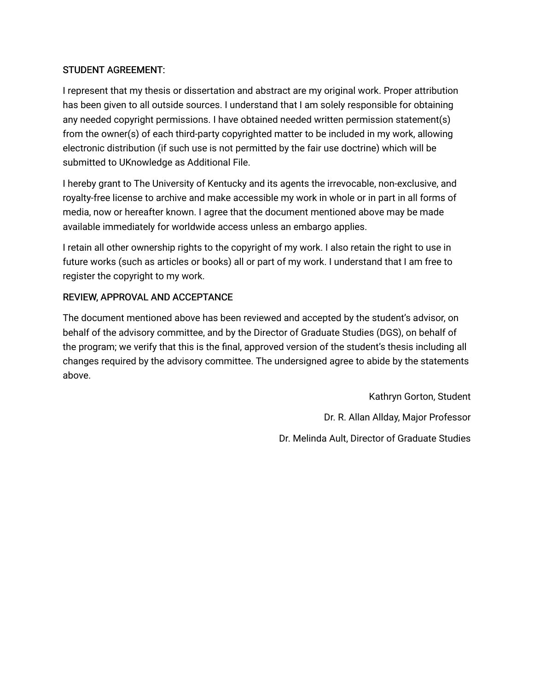### STUDENT AGREEMENT:

I represent that my thesis or dissertation and abstract are my original work. Proper attribution has been given to all outside sources. I understand that I am solely responsible for obtaining any needed copyright permissions. I have obtained needed written permission statement(s) from the owner(s) of each third-party copyrighted matter to be included in my work, allowing electronic distribution (if such use is not permitted by the fair use doctrine) which will be submitted to UKnowledge as Additional File.

I hereby grant to The University of Kentucky and its agents the irrevocable, non-exclusive, and royalty-free license to archive and make accessible my work in whole or in part in all forms of media, now or hereafter known. I agree that the document mentioned above may be made available immediately for worldwide access unless an embargo applies.

I retain all other ownership rights to the copyright of my work. I also retain the right to use in future works (such as articles or books) all or part of my work. I understand that I am free to register the copyright to my work.

### REVIEW, APPROVAL AND ACCEPTANCE

The document mentioned above has been reviewed and accepted by the student's advisor, on behalf of the advisory committee, and by the Director of Graduate Studies (DGS), on behalf of the program; we verify that this is the final, approved version of the student's thesis including all changes required by the advisory committee. The undersigned agree to abide by the statements above.

> Kathryn Gorton, Student Dr. R. Allan Allday, Major Professor Dr. Melinda Ault, Director of Graduate Studies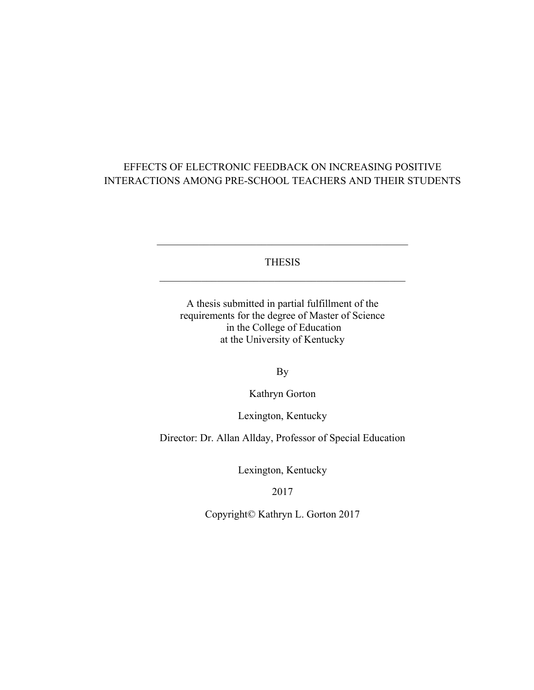# EFFECTS OF ELECTRONIC FEEDBACK ON INCREASING POSITIVE INTERACTIONS AMONG PRE-SCHOOL TEACHERS AND THEIR STUDENTS

THESIS  $\mathcal{L}_\text{max}$  and  $\mathcal{L}_\text{max}$  and  $\mathcal{L}_\text{max}$  and  $\mathcal{L}_\text{max}$  and  $\mathcal{L}_\text{max}$ 

 $\mathcal{L}_\text{max}$  and the contract of the contract of the contract of the contract of the contract of the contract of the contract of the contract of the contract of the contract of the contract of the contract of the contrac

A thesis submitted in partial fulfillment of the requirements for the degree of Master of Science in the College of Education at the University of Kentucky

By

Kathryn Gorton

Lexington, Kentucky

Director: Dr. Allan Allday, Professor of Special Education

Lexington, Kentucky

2017

Copyright© Kathryn L. Gorton 2017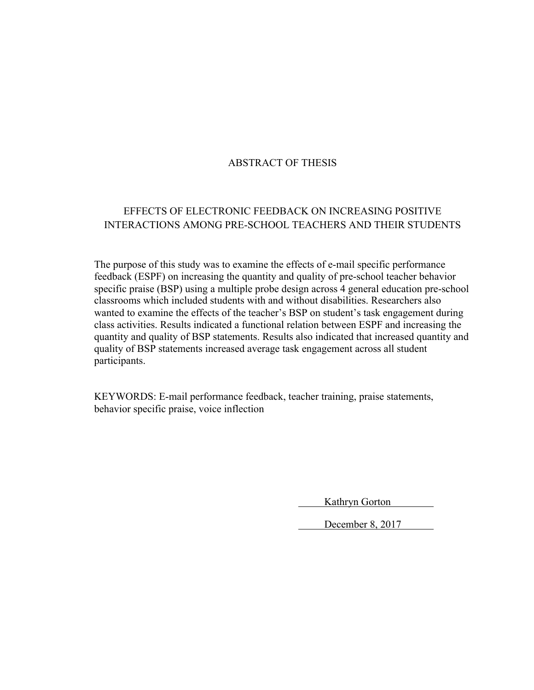### ABSTRACT OF THESIS

### EFFECTS OF ELECTRONIC FEEDBACK ON INCREASING POSITIVE INTERACTIONS AMONG PRE-SCHOOL TEACHERS AND THEIR STUDENTS

The purpose of this study was to examine the effects of e-mail specific performance feedback (ESPF) on increasing the quantity and quality of pre-school teacher behavior specific praise (BSP) using a multiple probe design across 4 general education pre-school classrooms which included students with and without disabilities. Researchers also wanted to examine the effects of the teacher's BSP on student's task engagement during class activities. Results indicated a functional relation between ESPF and increasing the quantity and quality of BSP statements. Results also indicated that increased quantity and quality of BSP statements increased average task engagement across all student participants.

KEYWORDS: E-mail performance feedback, teacher training, praise statements, behavior specific praise, voice inflection

Kathryn Gorton

December 8, 2017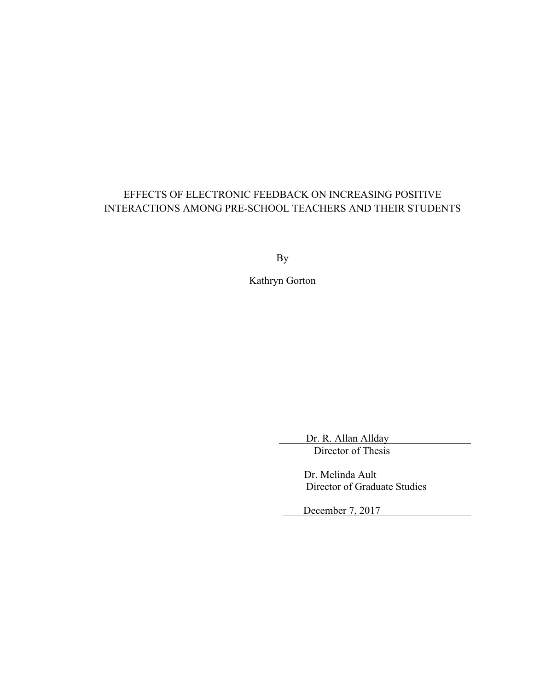# EFFECTS OF ELECTRONIC FEEDBACK ON INCREASING POSITIVE INTERACTIONS AMONG PRE-SCHOOL TEACHERS AND THEIR STUDENTS

By

Kathryn Gorton

 Dr. R. Allan Allday Director of Thesis

 Dr. Melinda Ault Director of Graduate Studies

December 7, 2017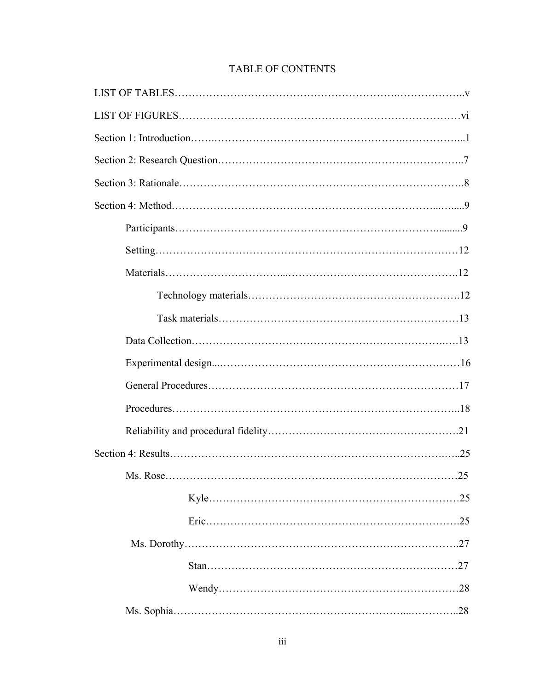# TABLE OF CONTENTS

| Ms. Rose | 25  |
|----------|-----|
|          | .25 |
|          |     |
|          |     |
|          |     |
|          | .27 |
|          |     |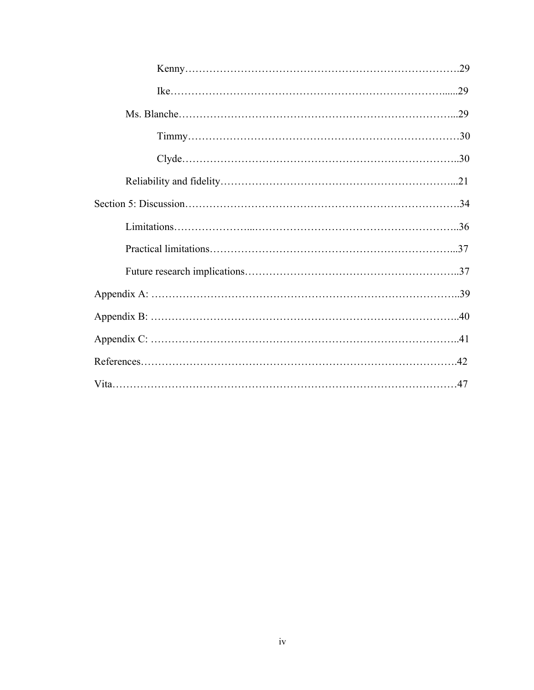| .29 |
|-----|
|     |
|     |
|     |
|     |
|     |
|     |
|     |
|     |
|     |
|     |
|     |
|     |
|     |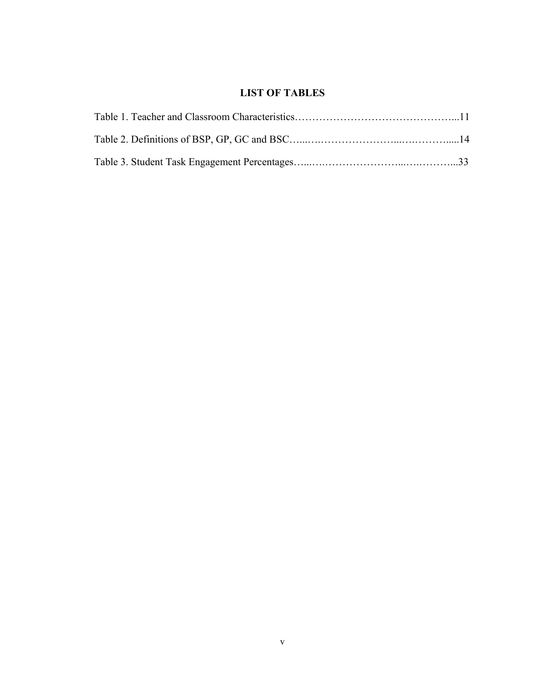# **LIST OF TABLES**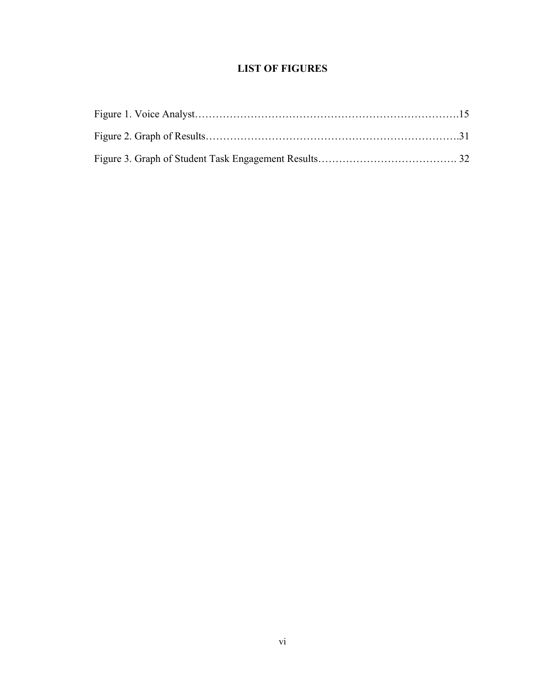# **LIST OF FIGURES**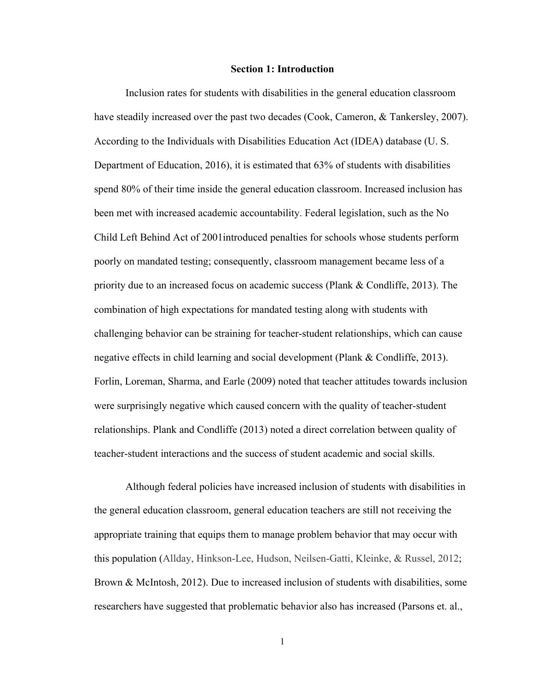### **Section 1: Introduction**

Inclusion rates for students with disabilities in the general education classroom have steadily increased over the past two decades (Cook, Cameron, & Tankersley, 2007). According to the Individuals with Disabilities Education Act (IDEA) database (U. S. Department of Education, 2016), it is estimated that 63% of students with disabilities spend 80% of their time inside the general education classroom. Increased inclusion has been met with increased academic accountability. Federal legislation, such as the No Child Left Behind Act of 2001introduced penalties for schools whose students perform poorly on mandated testing; consequently, classroom management became less of a priority due to an increased focus on academic success (Plank & Condliffe, 2013). The combination of high expectations for mandated testing along with students with challenging behavior can be straining for teacher-student relationships, which can cause negative effects in child learning and social development (Plank & Condliffe, 2013). Forlin, Loreman, Sharma, and Earle (2009) noted that teacher attitudes towards inclusion were surprisingly negative which caused concern with the quality of teacher-student relationships. Plank and Condliffe (2013) noted a direct correlation between quality of teacher-student interactions and the success of student academic and social skills.

Although federal policies have increased inclusion of students with disabilities in the general education classroom, general education teachers are still not receiving the appropriate training that equips them to manage problem behavior that may occur with this population (Allday, Hinkson-Lee, Hudson, Neilsen-Gatti, Kleinke, & Russel, 2012; Brown & McIntosh, 2012). Due to increased inclusion of students with disabilities, some researchers have suggested that problematic behavior also has increased (Parsons et. al.,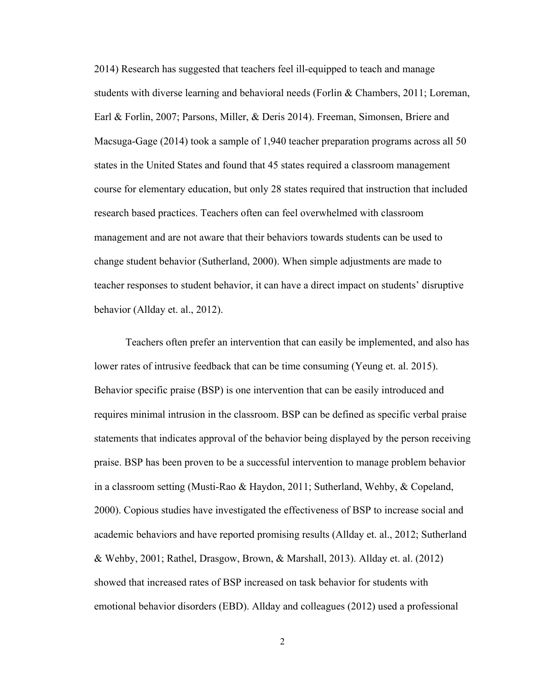2014) Research has suggested that teachers feel ill-equipped to teach and manage students with diverse learning and behavioral needs (Forlin & Chambers, 2011; Loreman, Earl & Forlin, 2007; Parsons, Miller, & Deris 2014). Freeman, Simonsen, Briere and Macsuga-Gage (2014) took a sample of 1,940 teacher preparation programs across all 50 states in the United States and found that 45 states required a classroom management course for elementary education, but only 28 states required that instruction that included research based practices. Teachers often can feel overwhelmed with classroom management and are not aware that their behaviors towards students can be used to change student behavior (Sutherland, 2000). When simple adjustments are made to teacher responses to student behavior, it can have a direct impact on students' disruptive behavior (Allday et. al., 2012).

Teachers often prefer an intervention that can easily be implemented, and also has lower rates of intrusive feedback that can be time consuming (Yeung et. al. 2015). Behavior specific praise (BSP) is one intervention that can be easily introduced and requires minimal intrusion in the classroom. BSP can be defined as specific verbal praise statements that indicates approval of the behavior being displayed by the person receiving praise. BSP has been proven to be a successful intervention to manage problem behavior in a classroom setting (Musti-Rao & Haydon, 2011; Sutherland, Wehby, & Copeland, 2000). Copious studies have investigated the effectiveness of BSP to increase social and academic behaviors and have reported promising results (Allday et. al., 2012; Sutherland & Wehby, 2001; Rathel, Drasgow, Brown, & Marshall, 2013). Allday et. al. (2012) showed that increased rates of BSP increased on task behavior for students with emotional behavior disorders (EBD). Allday and colleagues (2012) used a professional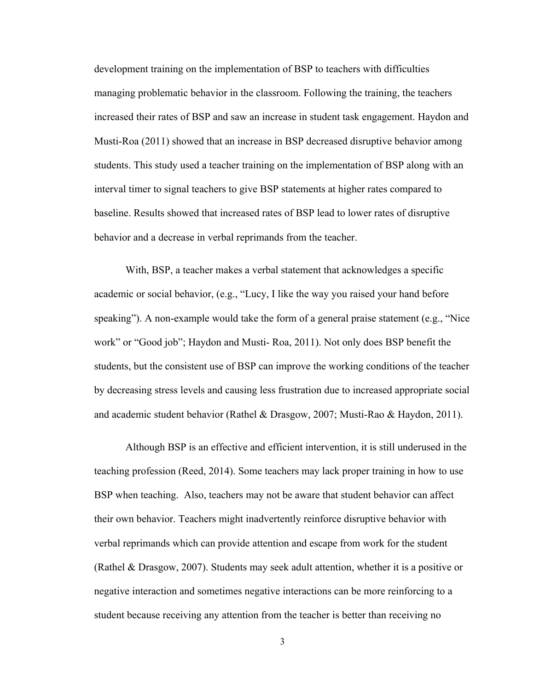development training on the implementation of BSP to teachers with difficulties managing problematic behavior in the classroom. Following the training, the teachers increased their rates of BSP and saw an increase in student task engagement. Haydon and Musti-Roa (2011) showed that an increase in BSP decreased disruptive behavior among students. This study used a teacher training on the implementation of BSP along with an interval timer to signal teachers to give BSP statements at higher rates compared to baseline. Results showed that increased rates of BSP lead to lower rates of disruptive behavior and a decrease in verbal reprimands from the teacher.

With, BSP, a teacher makes a verbal statement that acknowledges a specific academic or social behavior, (e.g., "Lucy, I like the way you raised your hand before speaking"). A non-example would take the form of a general praise statement (e.g., "Nice work" or "Good job"; Haydon and Musti- Roa, 2011). Not only does BSP benefit the students, but the consistent use of BSP can improve the working conditions of the teacher by decreasing stress levels and causing less frustration due to increased appropriate social and academic student behavior (Rathel & Drasgow, 2007; Musti-Rao & Haydon, 2011).

Although BSP is an effective and efficient intervention, it is still underused in the teaching profession (Reed, 2014). Some teachers may lack proper training in how to use BSP when teaching. Also, teachers may not be aware that student behavior can affect their own behavior. Teachers might inadvertently reinforce disruptive behavior with verbal reprimands which can provide attention and escape from work for the student (Rathel & Drasgow, 2007). Students may seek adult attention, whether it is a positive or negative interaction and sometimes negative interactions can be more reinforcing to a student because receiving any attention from the teacher is better than receiving no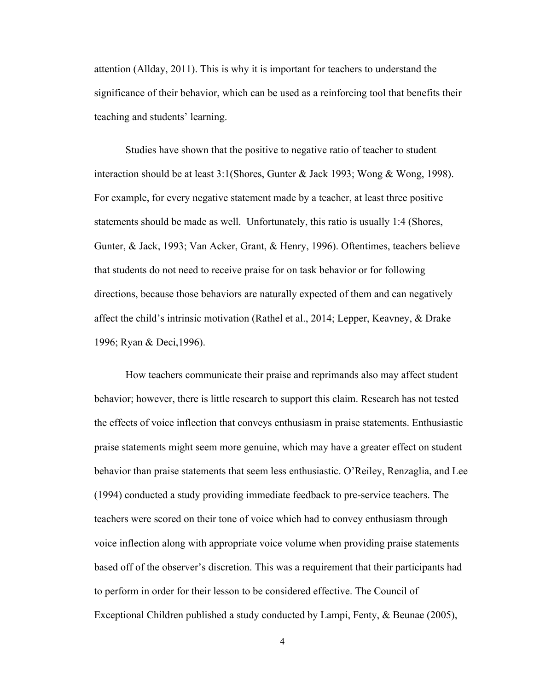attention (Allday, 2011). This is why it is important for teachers to understand the significance of their behavior, which can be used as a reinforcing tool that benefits their teaching and students' learning.

Studies have shown that the positive to negative ratio of teacher to student interaction should be at least 3:1(Shores, Gunter & Jack 1993; Wong & Wong, 1998). For example, for every negative statement made by a teacher, at least three positive statements should be made as well. Unfortunately, this ratio is usually 1:4 (Shores, Gunter, & Jack, 1993; Van Acker, Grant, & Henry, 1996). Oftentimes, teachers believe that students do not need to receive praise for on task behavior or for following directions, because those behaviors are naturally expected of them and can negatively affect the child's intrinsic motivation (Rathel et al., 2014; Lepper, Keavney, & Drake 1996; Ryan & Deci,1996).

How teachers communicate their praise and reprimands also may affect student behavior; however, there is little research to support this claim. Research has not tested the effects of voice inflection that conveys enthusiasm in praise statements. Enthusiastic praise statements might seem more genuine, which may have a greater effect on student behavior than praise statements that seem less enthusiastic. O'Reiley, Renzaglia, and Lee (1994) conducted a study providing immediate feedback to pre-service teachers. The teachers were scored on their tone of voice which had to convey enthusiasm through voice inflection along with appropriate voice volume when providing praise statements based off of the observer's discretion. This was a requirement that their participants had to perform in order for their lesson to be considered effective. The Council of Exceptional Children published a study conducted by Lampi, Fenty, & Beunae (2005),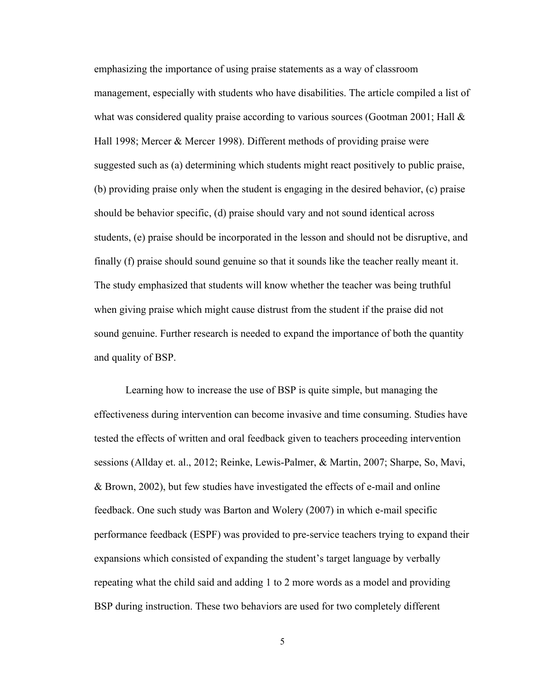emphasizing the importance of using praise statements as a way of classroom management, especially with students who have disabilities. The article compiled a list of what was considered quality praise according to various sources (Gootman 2001; Hall & Hall 1998; Mercer & Mercer 1998). Different methods of providing praise were suggested such as (a) determining which students might react positively to public praise, (b) providing praise only when the student is engaging in the desired behavior, (c) praise should be behavior specific, (d) praise should vary and not sound identical across students, (e) praise should be incorporated in the lesson and should not be disruptive, and finally (f) praise should sound genuine so that it sounds like the teacher really meant it. The study emphasized that students will know whether the teacher was being truthful when giving praise which might cause distrust from the student if the praise did not sound genuine. Further research is needed to expand the importance of both the quantity and quality of BSP.

Learning how to increase the use of BSP is quite simple, but managing the effectiveness during intervention can become invasive and time consuming. Studies have tested the effects of written and oral feedback given to teachers proceeding intervention sessions (Allday et. al., 2012; Reinke, Lewis-Palmer, & Martin, 2007; Sharpe, So, Mavi, & Brown, 2002), but few studies have investigated the effects of e-mail and online feedback. One such study was Barton and Wolery (2007) in which e-mail specific performance feedback (ESPF) was provided to pre-service teachers trying to expand their expansions which consisted of expanding the student's target language by verbally repeating what the child said and adding 1 to 2 more words as a model and providing BSP during instruction. These two behaviors are used for two completely different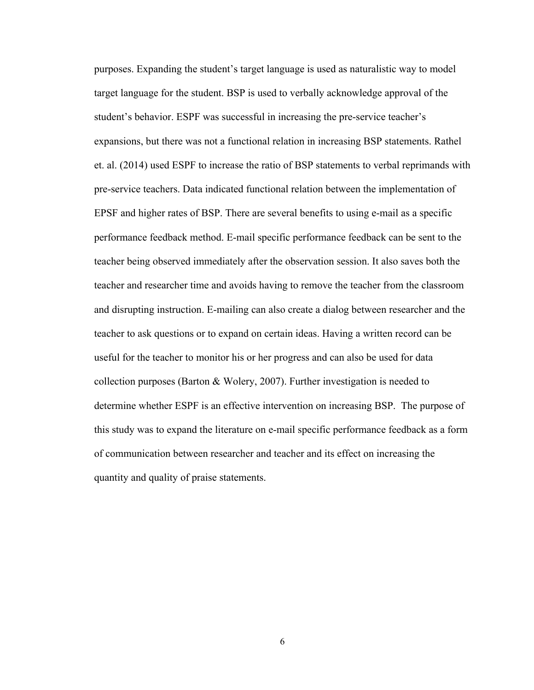purposes. Expanding the student's target language is used as naturalistic way to model target language for the student. BSP is used to verbally acknowledge approval of the student's behavior. ESPF was successful in increasing the pre-service teacher's expansions, but there was not a functional relation in increasing BSP statements. Rathel et. al. (2014) used ESPF to increase the ratio of BSP statements to verbal reprimands with pre-service teachers. Data indicated functional relation between the implementation of EPSF and higher rates of BSP. There are several benefits to using e-mail as a specific performance feedback method. E-mail specific performance feedback can be sent to the teacher being observed immediately after the observation session. It also saves both the teacher and researcher time and avoids having to remove the teacher from the classroom and disrupting instruction. E-mailing can also create a dialog between researcher and the teacher to ask questions or to expand on certain ideas. Having a written record can be useful for the teacher to monitor his or her progress and can also be used for data collection purposes (Barton & Wolery, 2007). Further investigation is needed to determine whether ESPF is an effective intervention on increasing BSP. The purpose of this study was to expand the literature on e-mail specific performance feedback as a form of communication between researcher and teacher and its effect on increasing the quantity and quality of praise statements.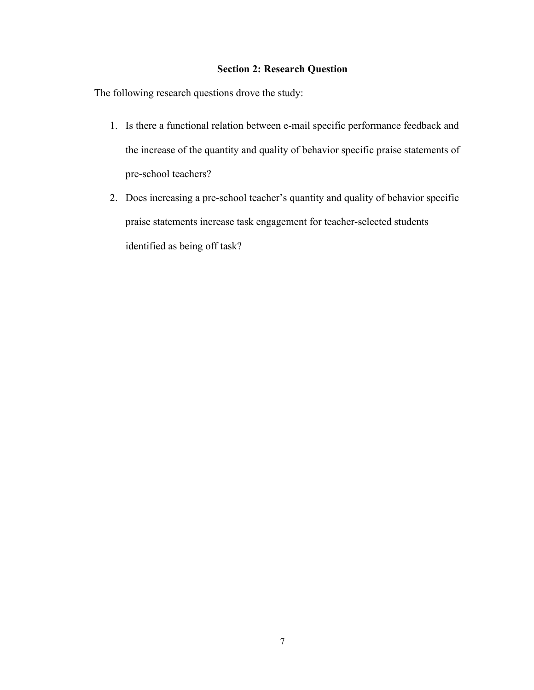### **Section 2: Research Question**

The following research questions drove the study:

- 1. Is there a functional relation between e-mail specific performance feedback and the increase of the quantity and quality of behavior specific praise statements of pre-school teachers?
- 2. Does increasing a pre-school teacher's quantity and quality of behavior specific praise statements increase task engagement for teacher-selected students identified as being off task?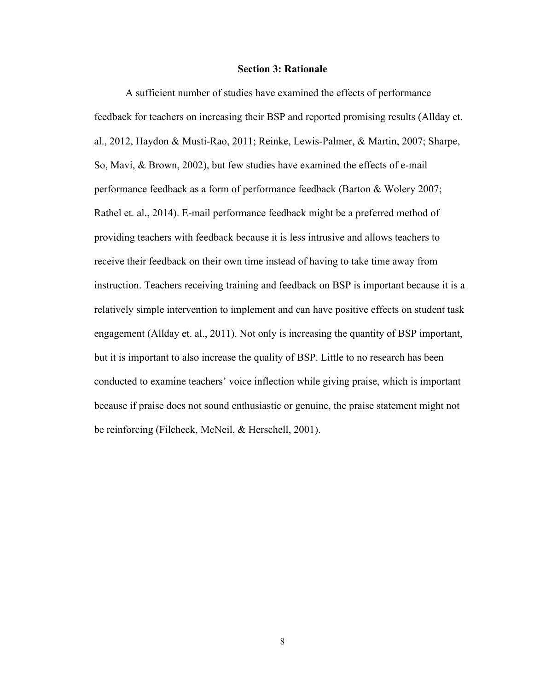#### **Section 3: Rationale**

A sufficient number of studies have examined the effects of performance feedback for teachers on increasing their BSP and reported promising results (Allday et. al., 2012, Haydon & Musti-Rao, 2011; Reinke, Lewis-Palmer, & Martin, 2007; Sharpe, So, Mavi, & Brown, 2002), but few studies have examined the effects of e-mail performance feedback as a form of performance feedback (Barton & Wolery 2007; Rathel et. al., 2014). E-mail performance feedback might be a preferred method of providing teachers with feedback because it is less intrusive and allows teachers to receive their feedback on their own time instead of having to take time away from instruction. Teachers receiving training and feedback on BSP is important because it is a relatively simple intervention to implement and can have positive effects on student task engagement (Allday et. al., 2011). Not only is increasing the quantity of BSP important, but it is important to also increase the quality of BSP. Little to no research has been conducted to examine teachers' voice inflection while giving praise, which is important because if praise does not sound enthusiastic or genuine, the praise statement might not be reinforcing (Filcheck, McNeil, & Herschell, 2001).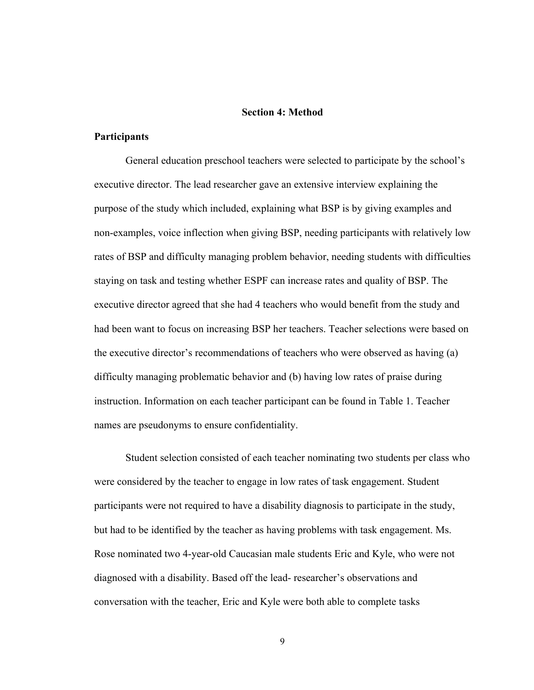### **Section 4: Method**

### **Participants**

General education preschool teachers were selected to participate by the school's executive director. The lead researcher gave an extensive interview explaining the purpose of the study which included, explaining what BSP is by giving examples and non-examples, voice inflection when giving BSP, needing participants with relatively low rates of BSP and difficulty managing problem behavior, needing students with difficulties staying on task and testing whether ESPF can increase rates and quality of BSP. The executive director agreed that she had 4 teachers who would benefit from the study and had been want to focus on increasing BSP her teachers. Teacher selections were based on the executive director's recommendations of teachers who were observed as having (a) difficulty managing problematic behavior and (b) having low rates of praise during instruction. Information on each teacher participant can be found in Table 1. Teacher names are pseudonyms to ensure confidentiality.

Student selection consisted of each teacher nominating two students per class who were considered by the teacher to engage in low rates of task engagement. Student participants were not required to have a disability diagnosis to participate in the study, but had to be identified by the teacher as having problems with task engagement. Ms. Rose nominated two 4-year-old Caucasian male students Eric and Kyle, who were not diagnosed with a disability. Based off the lead- researcher's observations and conversation with the teacher, Eric and Kyle were both able to complete tasks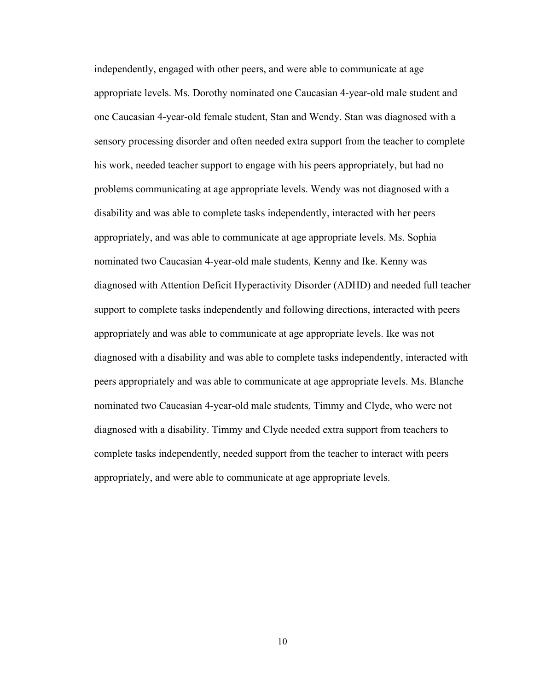independently, engaged with other peers, and were able to communicate at age appropriate levels. Ms. Dorothy nominated one Caucasian 4-year-old male student and one Caucasian 4-year-old female student, Stan and Wendy. Stan was diagnosed with a sensory processing disorder and often needed extra support from the teacher to complete his work, needed teacher support to engage with his peers appropriately, but had no problems communicating at age appropriate levels. Wendy was not diagnosed with a disability and was able to complete tasks independently, interacted with her peers appropriately, and was able to communicate at age appropriate levels. Ms. Sophia nominated two Caucasian 4-year-old male students, Kenny and Ike. Kenny was diagnosed with Attention Deficit Hyperactivity Disorder (ADHD) and needed full teacher support to complete tasks independently and following directions, interacted with peers appropriately and was able to communicate at age appropriate levels. Ike was not diagnosed with a disability and was able to complete tasks independently, interacted with peers appropriately and was able to communicate at age appropriate levels. Ms. Blanche nominated two Caucasian 4-year-old male students, Timmy and Clyde, who were not diagnosed with a disability. Timmy and Clyde needed extra support from teachers to complete tasks independently, needed support from the teacher to interact with peers appropriately, and were able to communicate at age appropriate levels.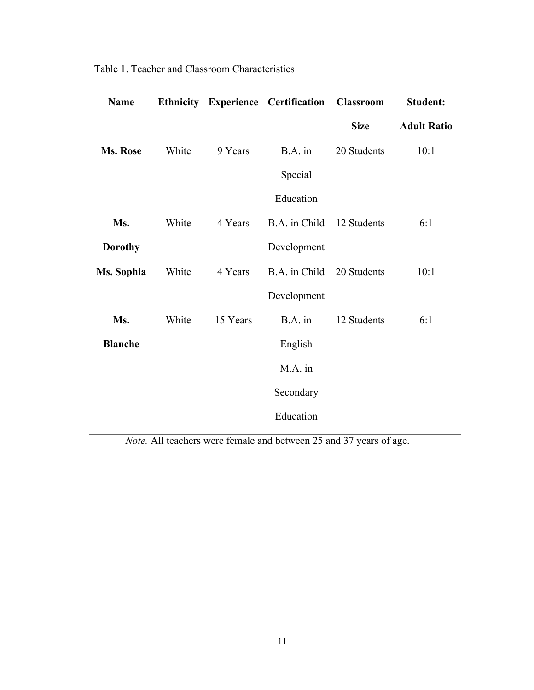| <b>Name</b>    |       |          | <b>Ethnicity Experience Certification</b> | <b>Classroom</b> | <b>Student:</b>    |  |
|----------------|-------|----------|-------------------------------------------|------------------|--------------------|--|
|                |       |          |                                           | <b>Size</b>      | <b>Adult Ratio</b> |  |
| Ms. Rose       | White | 9 Years  | B.A. in                                   | 20 Students      | 10:1               |  |
|                |       |          | Special                                   |                  |                    |  |
|                |       |          | Education                                 |                  |                    |  |
| Ms.            | White | 4 Years  | B.A. in Child                             | 12 Students      | 6:1                |  |
| <b>Dorothy</b> |       |          | Development                               |                  |                    |  |
| Ms. Sophia     | White | 4 Years  | B.A. in Child                             | 20 Students      | 10:1               |  |
|                |       |          | Development                               |                  |                    |  |
| Ms.            | White | 15 Years | B.A. in                                   | 12 Students      | 6:1                |  |
| <b>Blanche</b> |       |          | English                                   |                  |                    |  |
|                |       |          | $M.A.$ in                                 |                  |                    |  |
|                |       |          | Secondary                                 |                  |                    |  |
|                |       |          | Education                                 |                  |                    |  |
|                |       |          |                                           |                  |                    |  |

# Table 1. Teacher and Classroom Characteristics

*Note.* All teachers were female and between 25 and 37 years of age.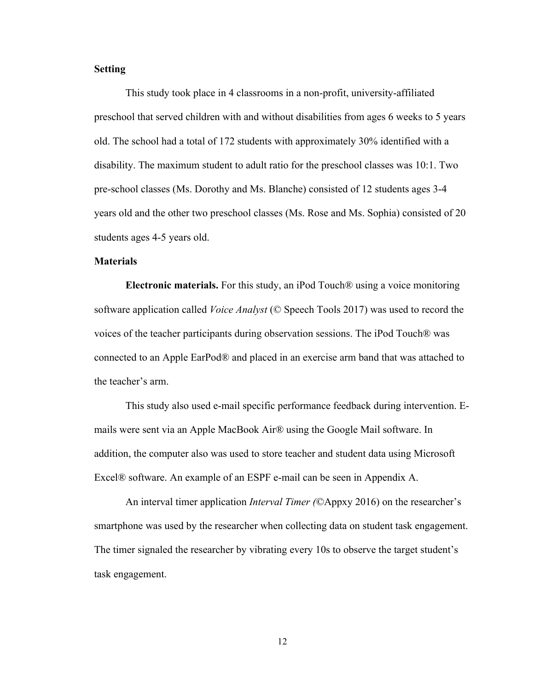### **Setting**

This study took place in 4 classrooms in a non-profit, university-affiliated preschool that served children with and without disabilities from ages 6 weeks to 5 years old. The school had a total of 172 students with approximately 30% identified with a disability. The maximum student to adult ratio for the preschool classes was 10:1. Two pre-school classes (Ms. Dorothy and Ms. Blanche) consisted of 12 students ages 3-4 years old and the other two preschool classes (Ms. Rose and Ms. Sophia) consisted of 20 students ages 4-5 years old.

### **Materials**

**Electronic materials.** For this study, an iPod Touch® using a voice monitoring software application called *Voice Analyst* (© Speech Tools 2017) was used to record the voices of the teacher participants during observation sessions. The iPod Touch® was connected to an Apple EarPod® and placed in an exercise arm band that was attached to the teacher's arm.

This study also used e-mail specific performance feedback during intervention. Emails were sent via an Apple MacBook Air® using the Google Mail software. In addition, the computer also was used to store teacher and student data using Microsoft Excel® software. An example of an ESPF e-mail can be seen in Appendix A.

An interval timer application *Interval Timer (*©Appxy 2016) on the researcher's smartphone was used by the researcher when collecting data on student task engagement. The timer signaled the researcher by vibrating every 10s to observe the target student's task engagement.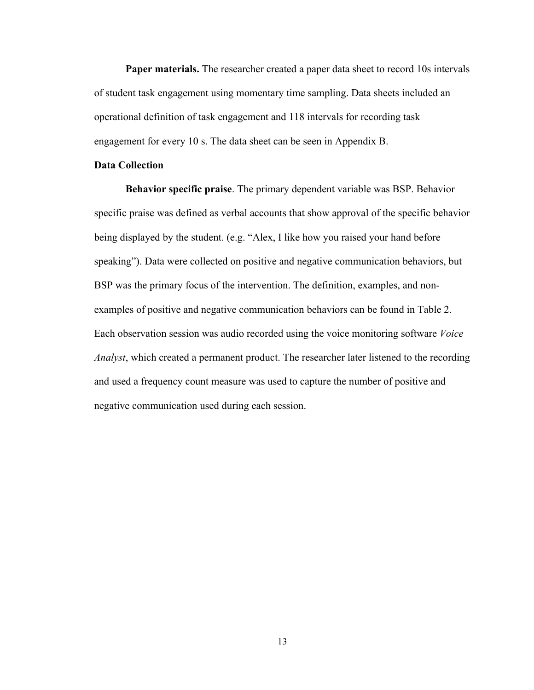**Paper materials.** The researcher created a paper data sheet to record 10s intervals of student task engagement using momentary time sampling. Data sheets included an operational definition of task engagement and 118 intervals for recording task engagement for every 10 s. The data sheet can be seen in Appendix B.

### **Data Collection**

**Behavior specific praise**. The primary dependent variable was BSP. Behavior specific praise was defined as verbal accounts that show approval of the specific behavior being displayed by the student. (e.g. "Alex, I like how you raised your hand before speaking"). Data were collected on positive and negative communication behaviors, but BSP was the primary focus of the intervention. The definition, examples, and nonexamples of positive and negative communication behaviors can be found in Table 2. Each observation session was audio recorded using the voice monitoring software *Voice Analyst*, which created a permanent product. The researcher later listened to the recording and used a frequency count measure was used to capture the number of positive and negative communication used during each session.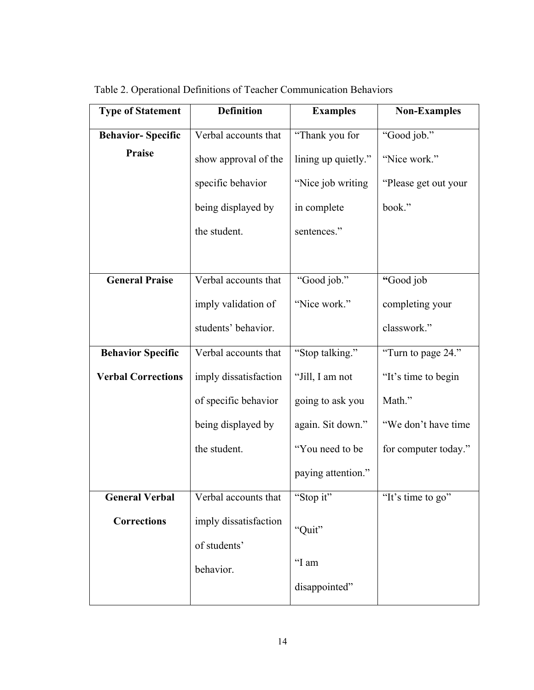| <b>Type of Statement</b>  | <b>Definition</b>     | <b>Examples</b>     | <b>Non-Examples</b>  |  |
|---------------------------|-----------------------|---------------------|----------------------|--|
| <b>Behavior-Specific</b>  | Verbal accounts that  | "Thank you for      | "Good job."          |  |
| Praise                    | show approval of the  | lining up quietly." | "Nice work."         |  |
|                           | specific behavior     | "Nice job writing"  | "Please get out your |  |
|                           | being displayed by    | in complete         | book."               |  |
|                           | the student.          | sentences."         |                      |  |
|                           |                       |                     |                      |  |
| <b>General Praise</b>     | Verbal accounts that  | "Good job."         | "Good job            |  |
|                           | imply validation of   | "Nice work."        | completing your      |  |
|                           | students' behavior.   |                     | classwork."          |  |
| <b>Behavior Specific</b>  | Verbal accounts that  | "Stop talking."     | "Turn to page 24."   |  |
| <b>Verbal Corrections</b> | imply dissatisfaction | "Jill, I am not     | "It's time to begin  |  |
|                           | of specific behavior  | going to ask you    | Math."               |  |
|                           | being displayed by    | again. Sit down."   | "We don't have time  |  |
|                           | the student.          | "You need to be     | for computer today." |  |
|                           |                       | paying attention."  |                      |  |
| <b>General Verbal</b>     | Verbal accounts that  | "Stop it"           | "It's time to go"    |  |
| <b>Corrections</b>        | imply dissatisfaction | "Quit"              |                      |  |
|                           | of students'          |                     |                      |  |
|                           | behavior.             | "I am               |                      |  |
|                           |                       | disappointed"       |                      |  |

Table 2. Operational Definitions of Teacher Communication Behaviors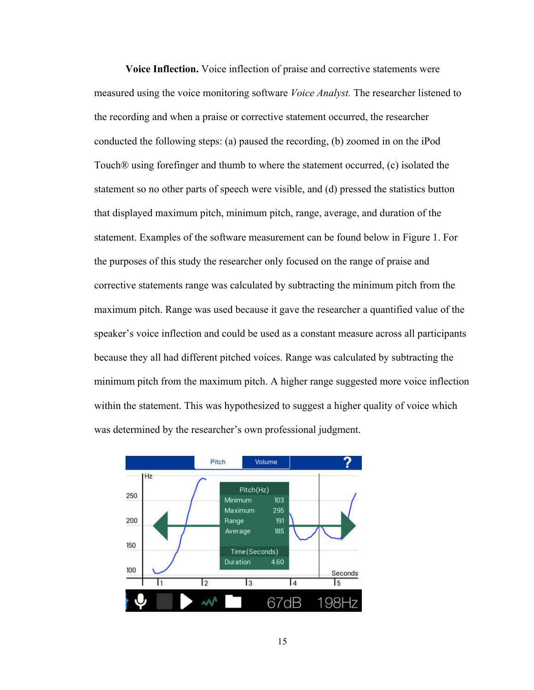**Voice Inflection.** Voice inflection of praise and corrective statements were measured using the voice monitoring software *Voice Analyst.* The researcher listened to the recording and when a praise or corrective statement occurred, the researcher conducted the following steps: (a) paused the recording, (b) zoomed in on the iPod Touch® using forefinger and thumb to where the statement occurred, (c) isolated the statement so no other parts of speech were visible, and (d) pressed the statistics button that displayed maximum pitch, minimum pitch, range, average, and duration of the statement. Examples of the software measurement can be found below in Figure 1. For the purposes of this study the researcher only focused on the range of praise and corrective statements range was calculated by subtracting the minimum pitch from the maximum pitch. Range was used because it gave the researcher a quantified value of the speaker's voice inflection and could be used as a constant measure across all participants because they all had different pitched voices. Range was calculated by subtracting the minimum pitch from the maximum pitch. A higher range suggested more voice inflection within the statement. This was hypothesized to suggest a higher quality of voice which was determined by the researcher's own professional judgment.

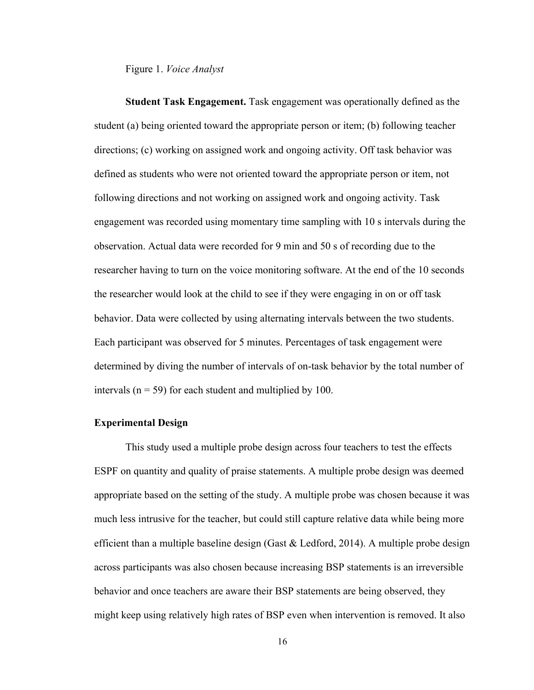Figure 1. *Voice Analyst* 

**Student Task Engagement.** Task engagement was operationally defined as the student (a) being oriented toward the appropriate person or item; (b) following teacher directions; (c) working on assigned work and ongoing activity. Off task behavior was defined as students who were not oriented toward the appropriate person or item, not following directions and not working on assigned work and ongoing activity. Task engagement was recorded using momentary time sampling with 10 s intervals during the observation. Actual data were recorded for 9 min and 50 s of recording due to the researcher having to turn on the voice monitoring software. At the end of the 10 seconds the researcher would look at the child to see if they were engaging in on or off task behavior. Data were collected by using alternating intervals between the two students. Each participant was observed for 5 minutes. Percentages of task engagement were determined by diving the number of intervals of on-task behavior by the total number of intervals ( $n = 59$ ) for each student and multiplied by 100.

### **Experimental Design**

This study used a multiple probe design across four teachers to test the effects ESPF on quantity and quality of praise statements. A multiple probe design was deemed appropriate based on the setting of the study. A multiple probe was chosen because it was much less intrusive for the teacher, but could still capture relative data while being more efficient than a multiple baseline design (Gast  $&$  Ledford, 2014). A multiple probe design across participants was also chosen because increasing BSP statements is an irreversible behavior and once teachers are aware their BSP statements are being observed, they might keep using relatively high rates of BSP even when intervention is removed. It also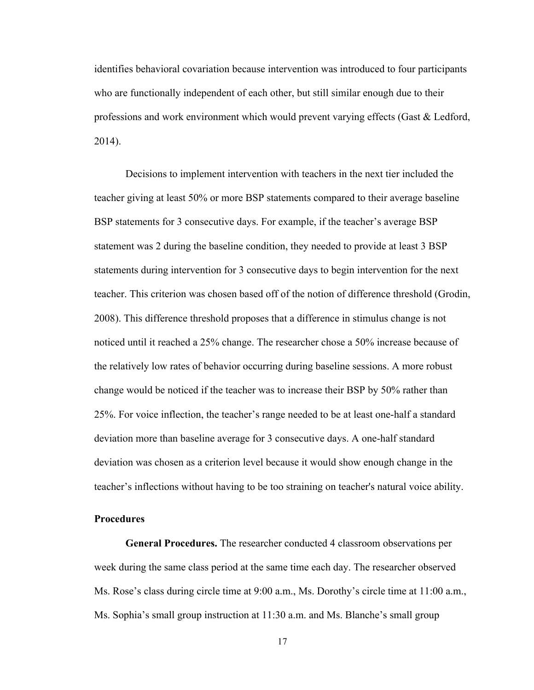identifies behavioral covariation because intervention was introduced to four participants who are functionally independent of each other, but still similar enough due to their professions and work environment which would prevent varying effects (Gast & Ledford, 2014).

Decisions to implement intervention with teachers in the next tier included the teacher giving at least 50% or more BSP statements compared to their average baseline BSP statements for 3 consecutive days. For example, if the teacher's average BSP statement was 2 during the baseline condition, they needed to provide at least 3 BSP statements during intervention for 3 consecutive days to begin intervention for the next teacher. This criterion was chosen based off of the notion of difference threshold (Grodin, 2008). This difference threshold proposes that a difference in stimulus change is not noticed until it reached a 25% change. The researcher chose a 50% increase because of the relatively low rates of behavior occurring during baseline sessions. A more robust change would be noticed if the teacher was to increase their BSP by 50% rather than 25%. For voice inflection, the teacher's range needed to be at least one-half a standard deviation more than baseline average for 3 consecutive days. A one-half standard deviation was chosen as a criterion level because it would show enough change in the teacher's inflections without having to be too straining on teacher's natural voice ability.

### **Procedures**

**General Procedures.** The researcher conducted 4 classroom observations per week during the same class period at the same time each day. The researcher observed Ms. Rose's class during circle time at 9:00 a.m., Ms. Dorothy's circle time at 11:00 a.m., Ms. Sophia's small group instruction at 11:30 a.m. and Ms. Blanche's small group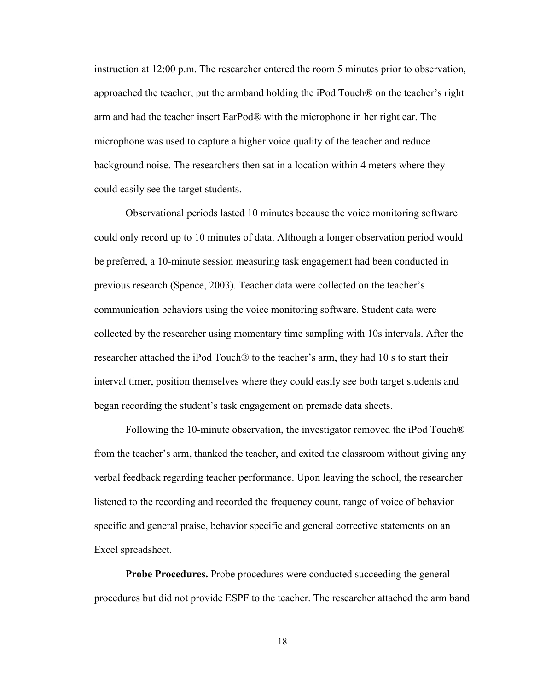instruction at 12:00 p.m. The researcher entered the room 5 minutes prior to observation, approached the teacher, put the armband holding the iPod Touch® on the teacher's right arm and had the teacher insert EarPod® with the microphone in her right ear. The microphone was used to capture a higher voice quality of the teacher and reduce background noise. The researchers then sat in a location within 4 meters where they could easily see the target students.

Observational periods lasted 10 minutes because the voice monitoring software could only record up to 10 minutes of data. Although a longer observation period would be preferred, a 10-minute session measuring task engagement had been conducted in previous research (Spence, 2003). Teacher data were collected on the teacher's communication behaviors using the voice monitoring software. Student data were collected by the researcher using momentary time sampling with 10s intervals. After the researcher attached the iPod Touch® to the teacher's arm, they had 10 s to start their interval timer, position themselves where they could easily see both target students and began recording the student's task engagement on premade data sheets.

Following the 10-minute observation, the investigator removed the iPod Touch® from the teacher's arm, thanked the teacher, and exited the classroom without giving any verbal feedback regarding teacher performance. Upon leaving the school, the researcher listened to the recording and recorded the frequency count, range of voice of behavior specific and general praise, behavior specific and general corrective statements on an Excel spreadsheet.

**Probe Procedures.** Probe procedures were conducted succeeding the general procedures but did not provide ESPF to the teacher. The researcher attached the arm band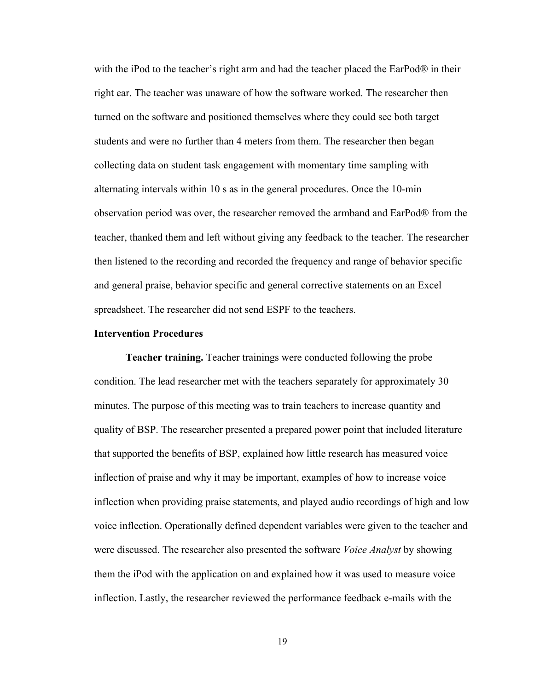with the iPod to the teacher's right arm and had the teacher placed the EarPod® in their right ear. The teacher was unaware of how the software worked. The researcher then turned on the software and positioned themselves where they could see both target students and were no further than 4 meters from them. The researcher then began collecting data on student task engagement with momentary time sampling with alternating intervals within 10 s as in the general procedures. Once the 10-min observation period was over, the researcher removed the armband and EarPod® from the teacher, thanked them and left without giving any feedback to the teacher. The researcher then listened to the recording and recorded the frequency and range of behavior specific and general praise, behavior specific and general corrective statements on an Excel spreadsheet. The researcher did not send ESPF to the teachers.

### **Intervention Procedures**

**Teacher training.** Teacher trainings were conducted following the probe condition. The lead researcher met with the teachers separately for approximately 30 minutes. The purpose of this meeting was to train teachers to increase quantity and quality of BSP. The researcher presented a prepared power point that included literature that supported the benefits of BSP, explained how little research has measured voice inflection of praise and why it may be important, examples of how to increase voice inflection when providing praise statements, and played audio recordings of high and low voice inflection. Operationally defined dependent variables were given to the teacher and were discussed. The researcher also presented the software *Voice Analyst* by showing them the iPod with the application on and explained how it was used to measure voice inflection. Lastly, the researcher reviewed the performance feedback e-mails with the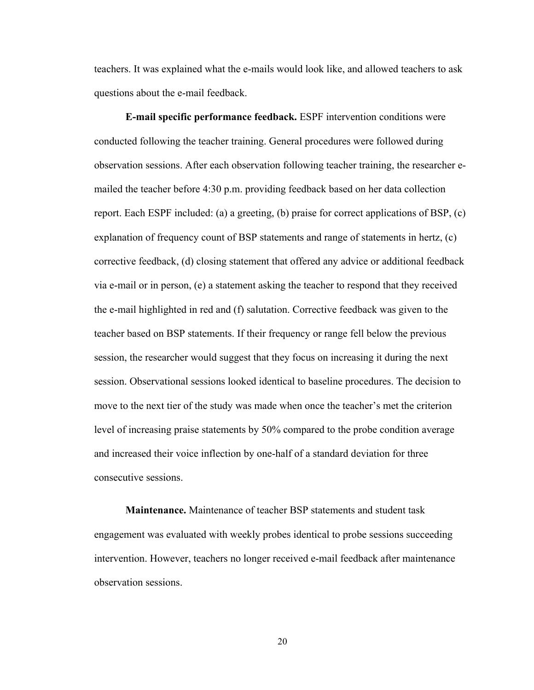teachers. It was explained what the e-mails would look like, and allowed teachers to ask questions about the e-mail feedback.

**E-mail specific performance feedback.** ESPF intervention conditions were conducted following the teacher training. General procedures were followed during observation sessions. After each observation following teacher training, the researcher emailed the teacher before 4:30 p.m. providing feedback based on her data collection report. Each ESPF included: (a) a greeting, (b) praise for correct applications of BSP, (c) explanation of frequency count of BSP statements and range of statements in hertz, (c) corrective feedback, (d) closing statement that offered any advice or additional feedback via e-mail or in person, (e) a statement asking the teacher to respond that they received the e-mail highlighted in red and (f) salutation. Corrective feedback was given to the teacher based on BSP statements. If their frequency or range fell below the previous session, the researcher would suggest that they focus on increasing it during the next session. Observational sessions looked identical to baseline procedures. The decision to move to the next tier of the study was made when once the teacher's met the criterion level of increasing praise statements by 50% compared to the probe condition average and increased their voice inflection by one-half of a standard deviation for three consecutive sessions.

**Maintenance.** Maintenance of teacher BSP statements and student task engagement was evaluated with weekly probes identical to probe sessions succeeding intervention. However, teachers no longer received e-mail feedback after maintenance observation sessions.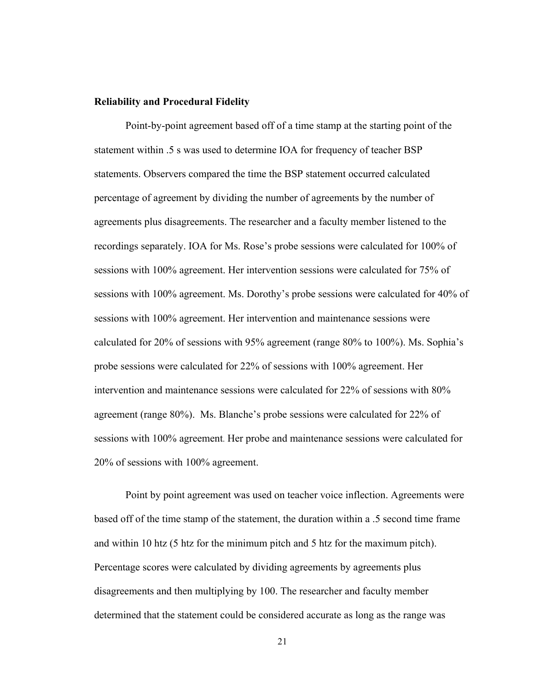#### **Reliability and Procedural Fidelity**

Point-by-point agreement based off of a time stamp at the starting point of the statement within .5 s was used to determine IOA for frequency of teacher BSP statements. Observers compared the time the BSP statement occurred calculated percentage of agreement by dividing the number of agreements by the number of agreements plus disagreements. The researcher and a faculty member listened to the recordings separately. IOA for Ms. Rose's probe sessions were calculated for 100% of sessions with 100% agreement. Her intervention sessions were calculated for 75% of sessions with 100% agreement. Ms. Dorothy's probe sessions were calculated for 40% of sessions with 100% agreement. Her intervention and maintenance sessions were calculated for 20% of sessions with 95% agreement (range 80% to 100%). Ms. Sophia's probe sessions were calculated for 22% of sessions with 100% agreement. Her intervention and maintenance sessions were calculated for 22% of sessions with 80% agreement (range 80%). Ms. Blanche's probe sessions were calculated for 22% of sessions with 100% agreement. Her probe and maintenance sessions were calculated for 20% of sessions with 100% agreement.

Point by point agreement was used on teacher voice inflection. Agreements were based off of the time stamp of the statement, the duration within a .5 second time frame and within 10 htz (5 htz for the minimum pitch and 5 htz for the maximum pitch). Percentage scores were calculated by dividing agreements by agreements plus disagreements and then multiplying by 100. The researcher and faculty member determined that the statement could be considered accurate as long as the range was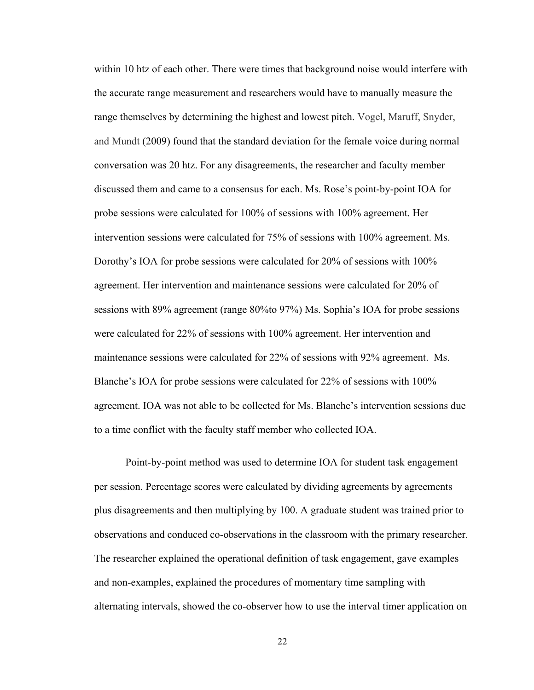within 10 htz of each other. There were times that background noise would interfere with the accurate range measurement and researchers would have to manually measure the range themselves by determining the highest and lowest pitch. Vogel, Maruff, Snyder, and Mundt (2009) found that the standard deviation for the female voice during normal conversation was 20 htz. For any disagreements, the researcher and faculty member discussed them and came to a consensus for each. Ms. Rose's point-by-point IOA for probe sessions were calculated for 100% of sessions with 100% agreement. Her intervention sessions were calculated for 75% of sessions with 100% agreement. Ms. Dorothy's IOA for probe sessions were calculated for 20% of sessions with 100% agreement. Her intervention and maintenance sessions were calculated for 20% of sessions with 89% agreement (range 80%to 97%) Ms. Sophia's IOA for probe sessions were calculated for 22% of sessions with 100% agreement. Her intervention and maintenance sessions were calculated for 22% of sessions with 92% agreement. Ms. Blanche's IOA for probe sessions were calculated for 22% of sessions with 100% agreement. IOA was not able to be collected for Ms. Blanche's intervention sessions due to a time conflict with the faculty staff member who collected IOA.

Point-by-point method was used to determine IOA for student task engagement per session. Percentage scores were calculated by dividing agreements by agreements plus disagreements and then multiplying by 100. A graduate student was trained prior to observations and conduced co-observations in the classroom with the primary researcher. The researcher explained the operational definition of task engagement, gave examples and non-examples, explained the procedures of momentary time sampling with alternating intervals, showed the co-observer how to use the interval timer application on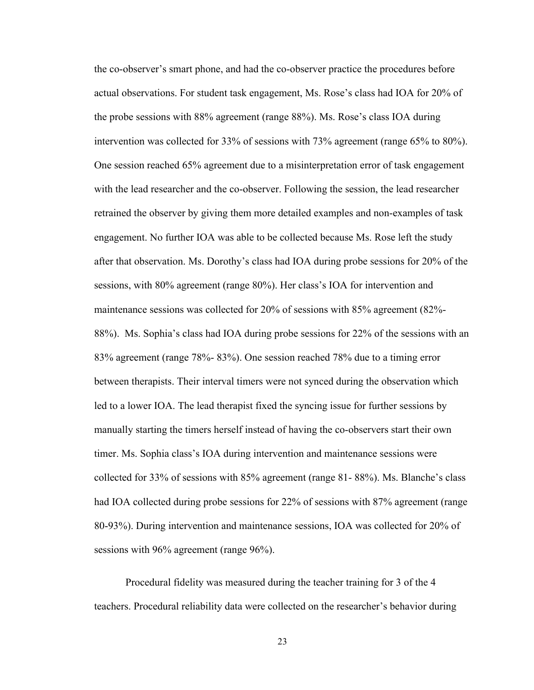the co-observer's smart phone, and had the co-observer practice the procedures before actual observations. For student task engagement, Ms. Rose's class had IOA for 20% of the probe sessions with 88% agreement (range 88%). Ms. Rose's class IOA during intervention was collected for 33% of sessions with 73% agreement (range 65% to 80%). One session reached 65% agreement due to a misinterpretation error of task engagement with the lead researcher and the co-observer. Following the session, the lead researcher retrained the observer by giving them more detailed examples and non-examples of task engagement. No further IOA was able to be collected because Ms. Rose left the study after that observation. Ms. Dorothy's class had IOA during probe sessions for 20% of the sessions, with 80% agreement (range 80%). Her class's IOA for intervention and maintenance sessions was collected for 20% of sessions with 85% agreement (82%- 88%). Ms. Sophia's class had IOA during probe sessions for 22% of the sessions with an 83% agreement (range 78%- 83%). One session reached 78% due to a timing error between therapists. Their interval timers were not synced during the observation which led to a lower IOA. The lead therapist fixed the syncing issue for further sessions by manually starting the timers herself instead of having the co-observers start their own timer. Ms. Sophia class's IOA during intervention and maintenance sessions were collected for 33% of sessions with 85% agreement (range 81- 88%). Ms. Blanche's class had IOA collected during probe sessions for 22% of sessions with 87% agreement (range 80-93%). During intervention and maintenance sessions, IOA was collected for 20% of sessions with 96% agreement (range 96%).

Procedural fidelity was measured during the teacher training for 3 of the 4 teachers. Procedural reliability data were collected on the researcher's behavior during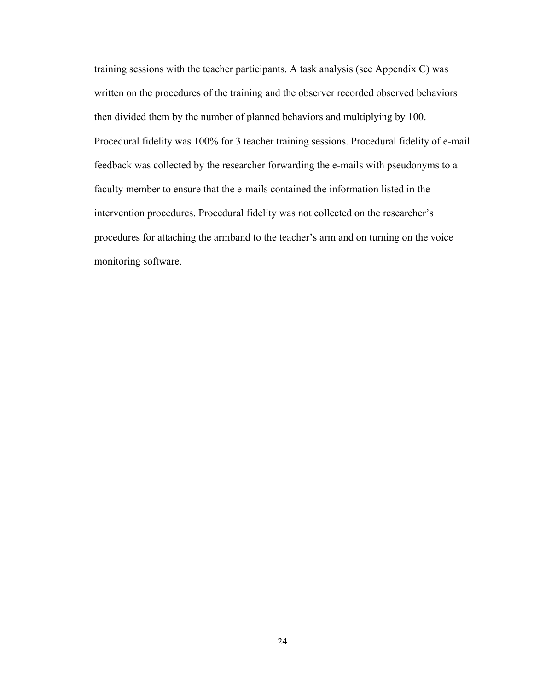training sessions with the teacher participants. A task analysis (see Appendix C) was written on the procedures of the training and the observer recorded observed behaviors then divided them by the number of planned behaviors and multiplying by 100. Procedural fidelity was 100% for 3 teacher training sessions. Procedural fidelity of e-mail feedback was collected by the researcher forwarding the e-mails with pseudonyms to a faculty member to ensure that the e-mails contained the information listed in the intervention procedures. Procedural fidelity was not collected on the researcher's procedures for attaching the armband to the teacher's arm and on turning on the voice monitoring software.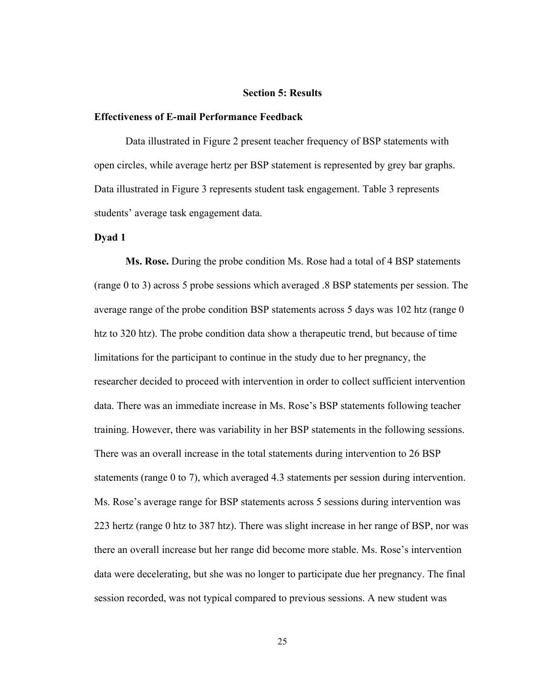#### **Section 5: Results**

### **Effectiveness of E-mail Performance Feedback**

Data illustrated in Figure 2 present teacher frequency of BSP statements with open circles, while average hertz per BSP statement is represented by grey bar graphs. Data illustrated in Figure 3 represents student task engagement. Table 3 represents students' average task engagement data.

#### **Dyad 1**

**Ms. Rose.** During the probe condition Ms. Rose had a total of 4 BSP statements (range 0 to 3) across 5 probe sessions which averaged .8 BSP statements per session. The average range of the probe condition BSP statements across 5 days was 102 htz (range 0 htz to 320 htz). The probe condition data show a therapeutic trend, but because of time limitations for the participant to continue in the study due to her pregnancy, the researcher decided to proceed with intervention in order to collect sufficient intervention data. There was an immediate increase in Ms. Rose's BSP statements following teacher training. However, there was variability in her BSP statements in the following sessions. There was an overall increase in the total statements during intervention to 26 BSP statements (range 0 to 7), which averaged 4.3 statements per session during intervention. Ms. Rose's average range for BSP statements across 5 sessions during intervention was 223 hertz (range 0 htz to 387 htz). There was slight increase in her range of BSP, nor was there an overall increase but her range did become more stable. Ms. Rose's intervention data were decelerating, but she was no longer to participate due her pregnancy. The final session recorded, was not typical compared to previous sessions. A new student was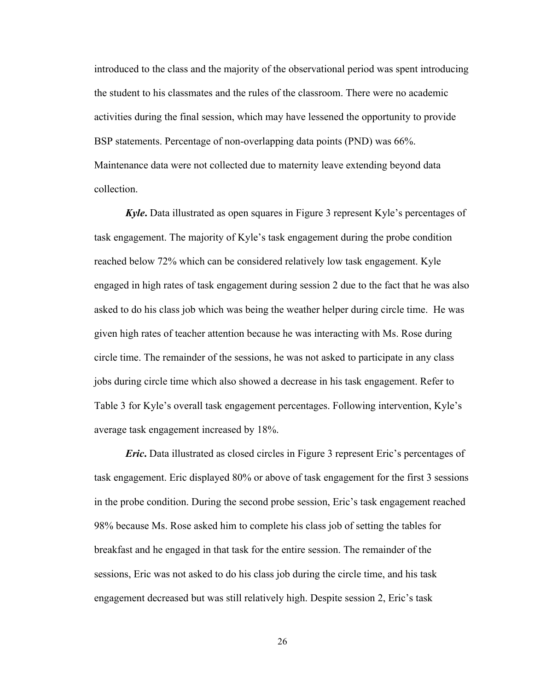introduced to the class and the majority of the observational period was spent introducing the student to his classmates and the rules of the classroom. There were no academic activities during the final session, which may have lessened the opportunity to provide BSP statements. Percentage of non-overlapping data points (PND) was 66%. Maintenance data were not collected due to maternity leave extending beyond data collection.

*Kyle***.** Data illustrated as open squares in Figure 3 represent Kyle's percentages of task engagement. The majority of Kyle's task engagement during the probe condition reached below 72% which can be considered relatively low task engagement. Kyle engaged in high rates of task engagement during session 2 due to the fact that he was also asked to do his class job which was being the weather helper during circle time. He was given high rates of teacher attention because he was interacting with Ms. Rose during circle time. The remainder of the sessions, he was not asked to participate in any class jobs during circle time which also showed a decrease in his task engagement. Refer to Table 3 for Kyle's overall task engagement percentages. Following intervention, Kyle's average task engagement increased by 18%.

*Eric*. Data illustrated as closed circles in Figure 3 represent Eric's percentages of task engagement. Eric displayed 80% or above of task engagement for the first 3 sessions in the probe condition. During the second probe session, Eric's task engagement reached 98% because Ms. Rose asked him to complete his class job of setting the tables for breakfast and he engaged in that task for the entire session. The remainder of the sessions, Eric was not asked to do his class job during the circle time, and his task engagement decreased but was still relatively high. Despite session 2, Eric's task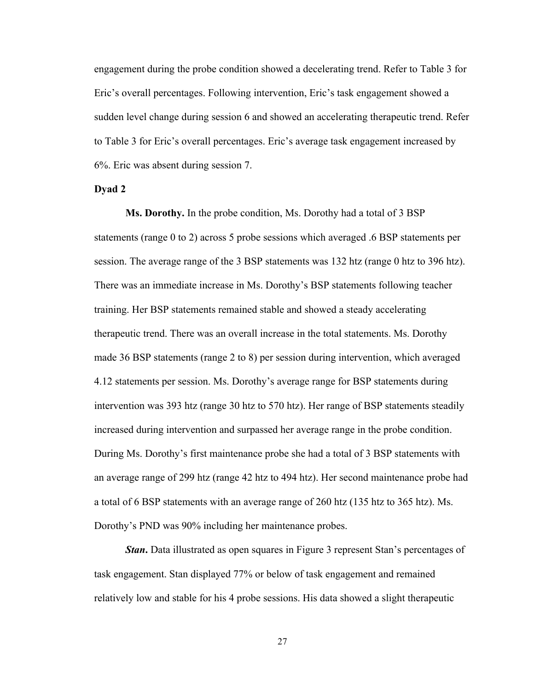engagement during the probe condition showed a decelerating trend. Refer to Table 3 for Eric's overall percentages. Following intervention, Eric's task engagement showed a sudden level change during session 6 and showed an accelerating therapeutic trend. Refer to Table 3 for Eric's overall percentages. Eric's average task engagement increased by 6%. Eric was absent during session 7.

### **Dyad 2**

**Ms. Dorothy.** In the probe condition, Ms. Dorothy had a total of 3 BSP statements (range 0 to 2) across 5 probe sessions which averaged .6 BSP statements per session. The average range of the 3 BSP statements was 132 htz (range 0 htz to 396 htz). There was an immediate increase in Ms. Dorothy's BSP statements following teacher training. Her BSP statements remained stable and showed a steady accelerating therapeutic trend. There was an overall increase in the total statements. Ms. Dorothy made 36 BSP statements (range 2 to 8) per session during intervention, which averaged 4.12 statements per session. Ms. Dorothy's average range for BSP statements during intervention was 393 htz (range 30 htz to 570 htz). Her range of BSP statements steadily increased during intervention and surpassed her average range in the probe condition. During Ms. Dorothy's first maintenance probe she had a total of 3 BSP statements with an average range of 299 htz (range 42 htz to 494 htz). Her second maintenance probe had a total of 6 BSP statements with an average range of 260 htz (135 htz to 365 htz). Ms. Dorothy's PND was 90% including her maintenance probes.

*Stan***.** Data illustrated as open squares in Figure 3 represent Stan's percentages of task engagement. Stan displayed 77% or below of task engagement and remained relatively low and stable for his 4 probe sessions. His data showed a slight therapeutic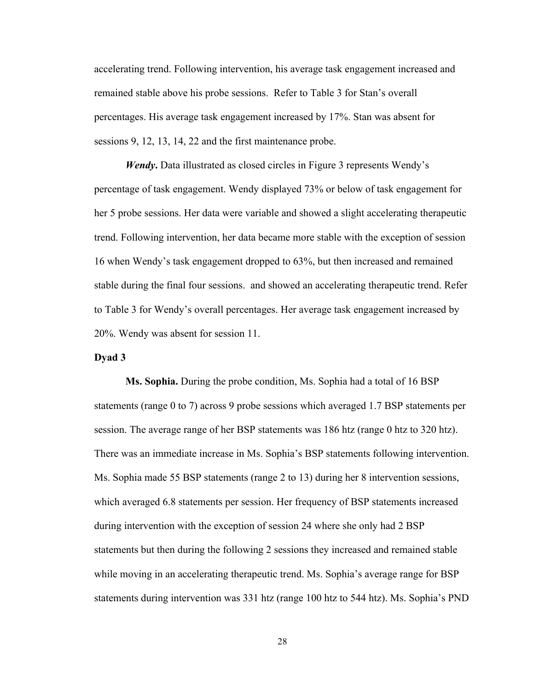accelerating trend. Following intervention, his average task engagement increased and remained stable above his probe sessions. Refer to Table 3 for Stan's overall percentages. His average task engagement increased by 17%. Stan was absent for sessions 9, 12, 13, 14, 22 and the first maintenance probe.

*Wendy***.** Data illustrated as closed circles in Figure 3 represents Wendy's percentage of task engagement. Wendy displayed 73% or below of task engagement for her 5 probe sessions. Her data were variable and showed a slight accelerating therapeutic trend. Following intervention, her data became more stable with the exception of session 16 when Wendy's task engagement dropped to 63%, but then increased and remained stable during the final four sessions. and showed an accelerating therapeutic trend. Refer to Table 3 for Wendy's overall percentages. Her average task engagement increased by 20%. Wendy was absent for session 11.

### **Dyad 3**

**Ms. Sophia.** During the probe condition, Ms. Sophia had a total of 16 BSP statements (range 0 to 7) across 9 probe sessions which averaged 1.7 BSP statements per session. The average range of her BSP statements was 186 htz (range 0 htz to 320 htz). There was an immediate increase in Ms. Sophia's BSP statements following intervention. Ms. Sophia made 55 BSP statements (range 2 to 13) during her 8 intervention sessions, which averaged 6.8 statements per session. Her frequency of BSP statements increased during intervention with the exception of session 24 where she only had 2 BSP statements but then during the following 2 sessions they increased and remained stable while moving in an accelerating therapeutic trend. Ms. Sophia's average range for BSP statements during intervention was 331 htz (range 100 htz to 544 htz). Ms. Sophia's PND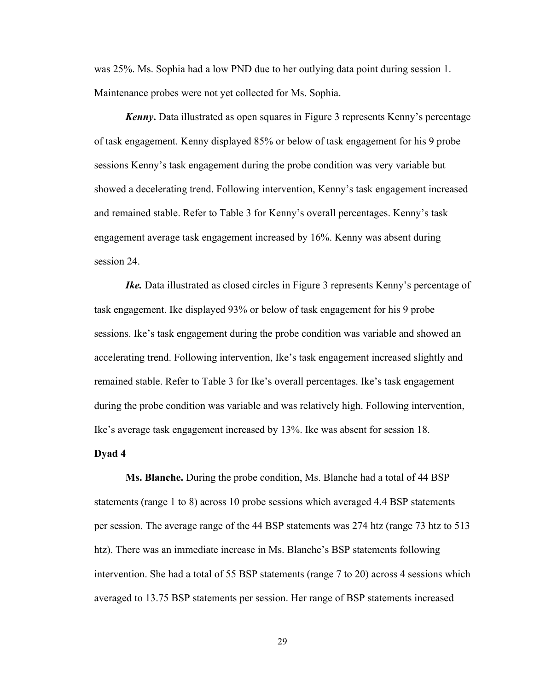was 25%. Ms. Sophia had a low PND due to her outlying data point during session 1. Maintenance probes were not yet collected for Ms. Sophia.

*Kenny***.** Data illustrated as open squares in Figure 3 represents Kenny's percentage of task engagement. Kenny displayed 85% or below of task engagement for his 9 probe sessions Kenny's task engagement during the probe condition was very variable but showed a decelerating trend. Following intervention, Kenny's task engagement increased and remained stable. Refer to Table 3 for Kenny's overall percentages. Kenny's task engagement average task engagement increased by 16%. Kenny was absent during session 24.

*Ike.* Data illustrated as closed circles in Figure 3 represents Kenny's percentage of task engagement. Ike displayed 93% or below of task engagement for his 9 probe sessions. Ike's task engagement during the probe condition was variable and showed an accelerating trend. Following intervention, Ike's task engagement increased slightly and remained stable. Refer to Table 3 for Ike's overall percentages. Ike's task engagement during the probe condition was variable and was relatively high. Following intervention, Ike's average task engagement increased by 13%. Ike was absent for session 18.

### **Dyad 4**

**Ms. Blanche.** During the probe condition, Ms. Blanche had a total of 44 BSP statements (range 1 to 8) across 10 probe sessions which averaged 4.4 BSP statements per session. The average range of the 44 BSP statements was 274 htz (range 73 htz to 513 htz). There was an immediate increase in Ms. Blanche's BSP statements following intervention. She had a total of 55 BSP statements (range 7 to 20) across 4 sessions which averaged to 13.75 BSP statements per session. Her range of BSP statements increased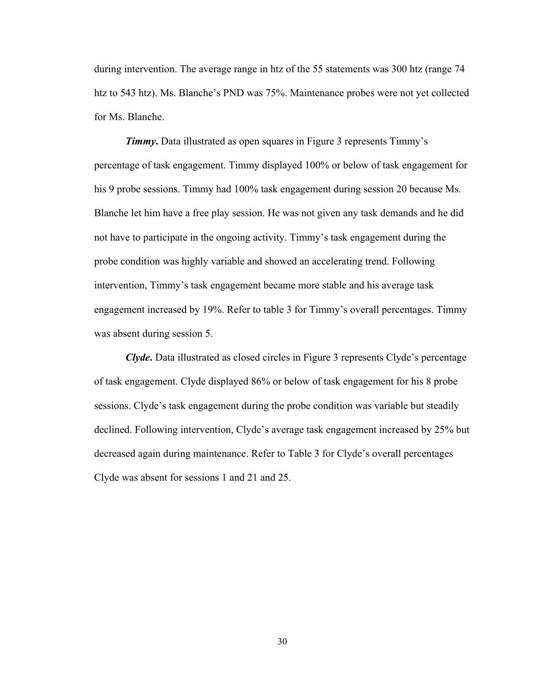during intervention. The average range in htz of the 55 statements was 300 htz (range 74 htz to 543 htz). Ms. Blanche's PND was 75%. Maintenance probes were not yet collected for Ms. Blanche.

**Timmy.** Data illustrated as open squares in Figure 3 represents Timmy's percentage of task engagement. Timmy displayed 100% or below of task engagement for his 9 probe sessions. Timmy had 100% task engagement during session 20 because Ms. Blanche let him have a free play session. He was not given any task demands and he did not have to participate in the ongoing activity. Timmy's task engagement during the probe condition was highly variable and showed an accelerating trend. Following intervention, Timmy's task engagement became more stable and his average task engagement increased by 19%. Refer to table 3 for Timmy's overall percentages. Timmy was absent during session 5.

*Clyde***.** Data illustrated as closed circles in Figure 3 represents Clyde's percentage of task engagement. Clyde displayed 86% or below of task engagement for his 8 probe sessions. Clyde's task engagement during the probe condition was variable but steadily declined. Following intervention, Clyde's average task engagement increased by 25% but decreased again during maintenance. Refer to Table 3 for Clyde's overall percentages Clyde was absent for sessions 1 and 21 and 25.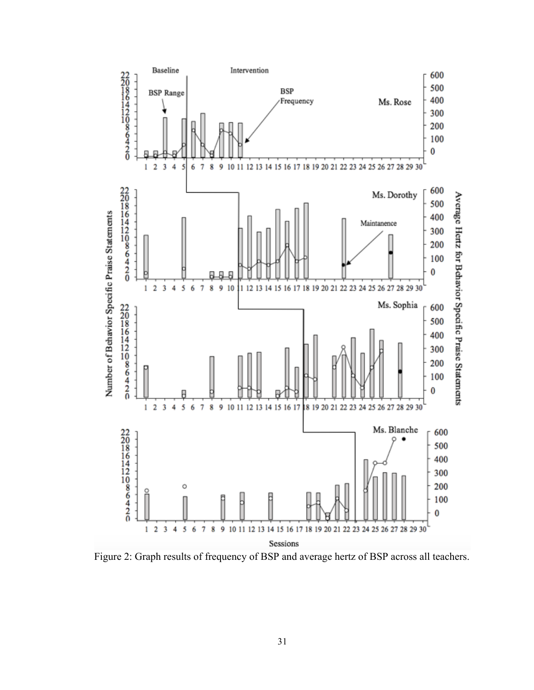

Figure 2: Graph results of frequency of BSP and average hertz of BSP across all teachers.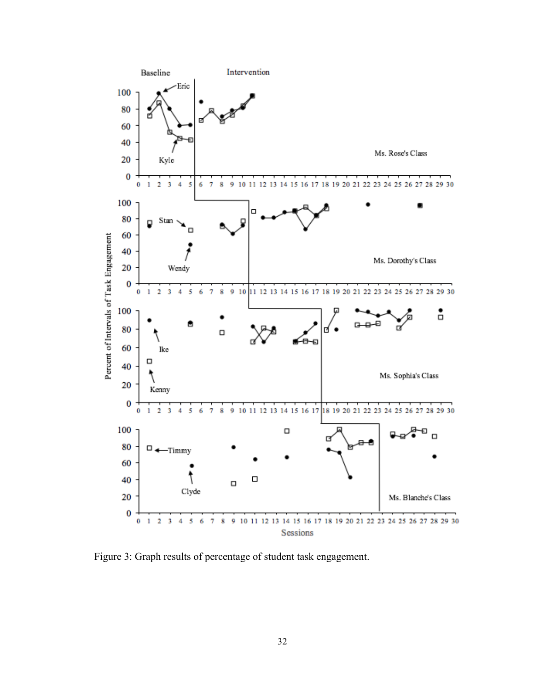

Figure 3: Graph results of percentage of student task engagement.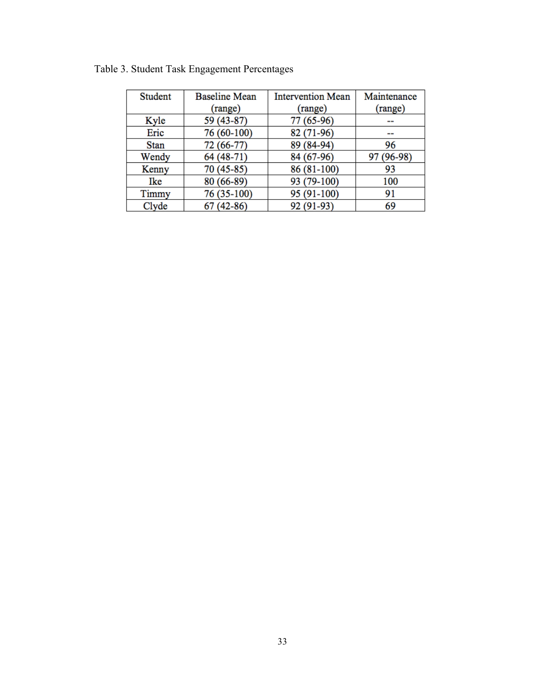| Student | <b>Baseline Mean</b> | <b>Intervention Mean</b> | Maintenance |  |
|---------|----------------------|--------------------------|-------------|--|
|         | (range)              | (range)                  | (range)     |  |
| Kyle    | 59 (43-87)           | 77 (65-96)               | --          |  |
| Eric    | 76 (60-100)          | 82 (71-96)               | --          |  |
| Stan    | 72 (66-77)           | 89 (84-94)               | 96          |  |
| Wendy   | 64 (48-71)           | 84 (67-96)               | 97 (96-98)  |  |
| Kenny   | 70 (45-85)           | 86 (81-100)              | 93          |  |
| Ike     | 80 (66-89)           | 93 (79-100)              | 100         |  |
| Timmy   | 76 (35-100)          | 95 (91-100)              | 91          |  |
| Clyde   | $67(42-86)$          | 92 (91-93)               | 69          |  |

Table 3. Student Task Engagement Percentages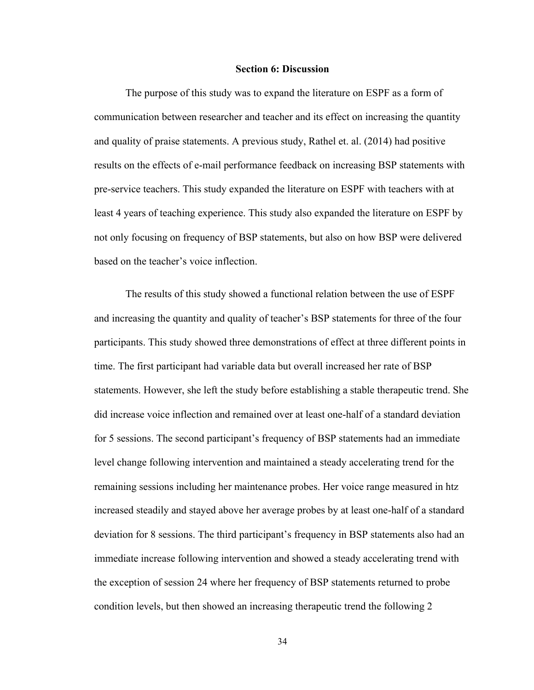#### **Section 6: Discussion**

The purpose of this study was to expand the literature on ESPF as a form of communication between researcher and teacher and its effect on increasing the quantity and quality of praise statements. A previous study, Rathel et. al. (2014) had positive results on the effects of e-mail performance feedback on increasing BSP statements with pre-service teachers. This study expanded the literature on ESPF with teachers with at least 4 years of teaching experience. This study also expanded the literature on ESPF by not only focusing on frequency of BSP statements, but also on how BSP were delivered based on the teacher's voice inflection.

The results of this study showed a functional relation between the use of ESPF and increasing the quantity and quality of teacher's BSP statements for three of the four participants. This study showed three demonstrations of effect at three different points in time. The first participant had variable data but overall increased her rate of BSP statements. However, she left the study before establishing a stable therapeutic trend. She did increase voice inflection and remained over at least one-half of a standard deviation for 5 sessions. The second participant's frequency of BSP statements had an immediate level change following intervention and maintained a steady accelerating trend for the remaining sessions including her maintenance probes. Her voice range measured in htz increased steadily and stayed above her average probes by at least one-half of a standard deviation for 8 sessions. The third participant's frequency in BSP statements also had an immediate increase following intervention and showed a steady accelerating trend with the exception of session 24 where her frequency of BSP statements returned to probe condition levels, but then showed an increasing therapeutic trend the following 2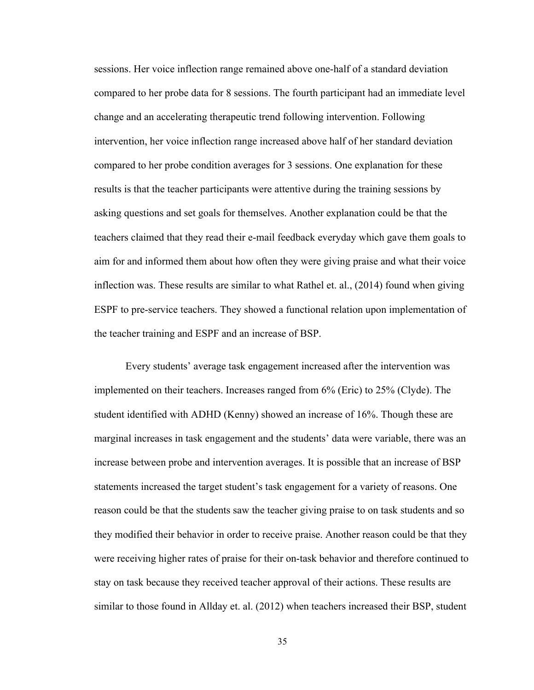sessions. Her voice inflection range remained above one-half of a standard deviation compared to her probe data for 8 sessions. The fourth participant had an immediate level change and an accelerating therapeutic trend following intervention. Following intervention, her voice inflection range increased above half of her standard deviation compared to her probe condition averages for 3 sessions. One explanation for these results is that the teacher participants were attentive during the training sessions by asking questions and set goals for themselves. Another explanation could be that the teachers claimed that they read their e-mail feedback everyday which gave them goals to aim for and informed them about how often they were giving praise and what their voice inflection was. These results are similar to what Rathel et. al., (2014) found when giving ESPF to pre-service teachers. They showed a functional relation upon implementation of the teacher training and ESPF and an increase of BSP.

Every students' average task engagement increased after the intervention was implemented on their teachers. Increases ranged from 6% (Eric) to 25% (Clyde). The student identified with ADHD (Kenny) showed an increase of 16%. Though these are marginal increases in task engagement and the students' data were variable, there was an increase between probe and intervention averages. It is possible that an increase of BSP statements increased the target student's task engagement for a variety of reasons. One reason could be that the students saw the teacher giving praise to on task students and so they modified their behavior in order to receive praise. Another reason could be that they were receiving higher rates of praise for their on-task behavior and therefore continued to stay on task because they received teacher approval of their actions. These results are similar to those found in Allday et. al. (2012) when teachers increased their BSP, student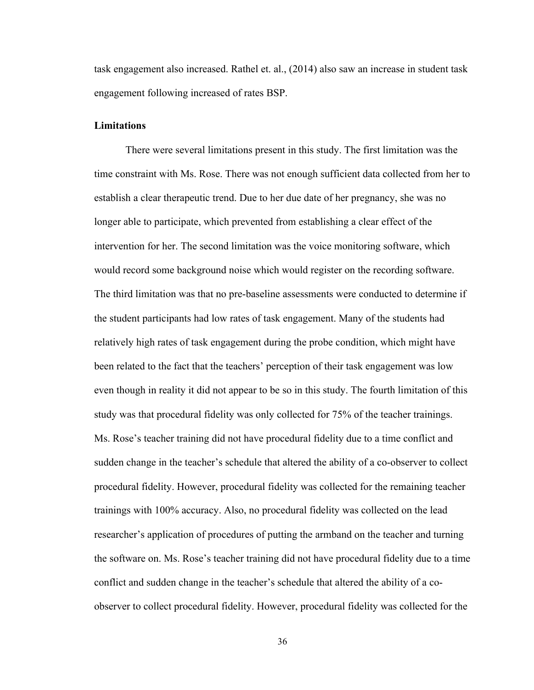task engagement also increased. Rathel et. al., (2014) also saw an increase in student task engagement following increased of rates BSP.

#### **Limitations**

There were several limitations present in this study. The first limitation was the time constraint with Ms. Rose. There was not enough sufficient data collected from her to establish a clear therapeutic trend. Due to her due date of her pregnancy, she was no longer able to participate, which prevented from establishing a clear effect of the intervention for her. The second limitation was the voice monitoring software, which would record some background noise which would register on the recording software. The third limitation was that no pre-baseline assessments were conducted to determine if the student participants had low rates of task engagement. Many of the students had relatively high rates of task engagement during the probe condition, which might have been related to the fact that the teachers' perception of their task engagement was low even though in reality it did not appear to be so in this study. The fourth limitation of this study was that procedural fidelity was only collected for 75% of the teacher trainings. Ms. Rose's teacher training did not have procedural fidelity due to a time conflict and sudden change in the teacher's schedule that altered the ability of a co-observer to collect procedural fidelity. However, procedural fidelity was collected for the remaining teacher trainings with 100% accuracy. Also, no procedural fidelity was collected on the lead researcher's application of procedures of putting the armband on the teacher and turning the software on. Ms. Rose's teacher training did not have procedural fidelity due to a time conflict and sudden change in the teacher's schedule that altered the ability of a coobserver to collect procedural fidelity. However, procedural fidelity was collected for the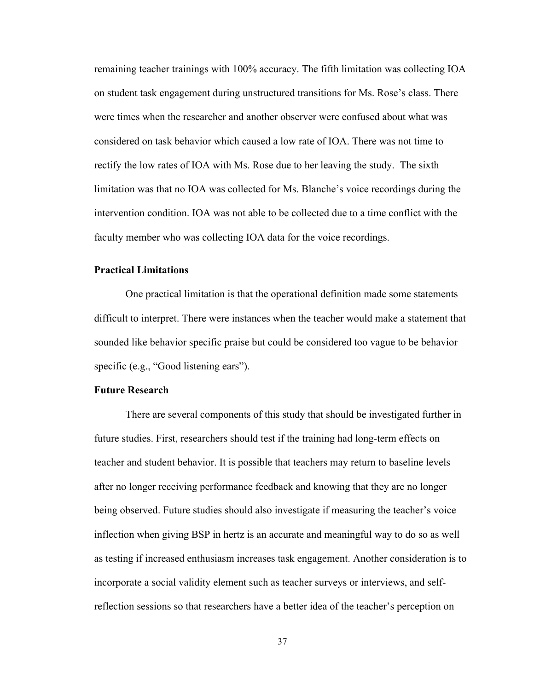remaining teacher trainings with 100% accuracy. The fifth limitation was collecting IOA on student task engagement during unstructured transitions for Ms. Rose's class. There were times when the researcher and another observer were confused about what was considered on task behavior which caused a low rate of IOA. There was not time to rectify the low rates of IOA with Ms. Rose due to her leaving the study. The sixth limitation was that no IOA was collected for Ms. Blanche's voice recordings during the intervention condition. IOA was not able to be collected due to a time conflict with the faculty member who was collecting IOA data for the voice recordings.

### **Practical Limitations**

One practical limitation is that the operational definition made some statements difficult to interpret. There were instances when the teacher would make a statement that sounded like behavior specific praise but could be considered too vague to be behavior specific (e.g., "Good listening ears").

### **Future Research**

There are several components of this study that should be investigated further in future studies. First, researchers should test if the training had long-term effects on teacher and student behavior. It is possible that teachers may return to baseline levels after no longer receiving performance feedback and knowing that they are no longer being observed. Future studies should also investigate if measuring the teacher's voice inflection when giving BSP in hertz is an accurate and meaningful way to do so as well as testing if increased enthusiasm increases task engagement. Another consideration is to incorporate a social validity element such as teacher surveys or interviews, and selfreflection sessions so that researchers have a better idea of the teacher's perception on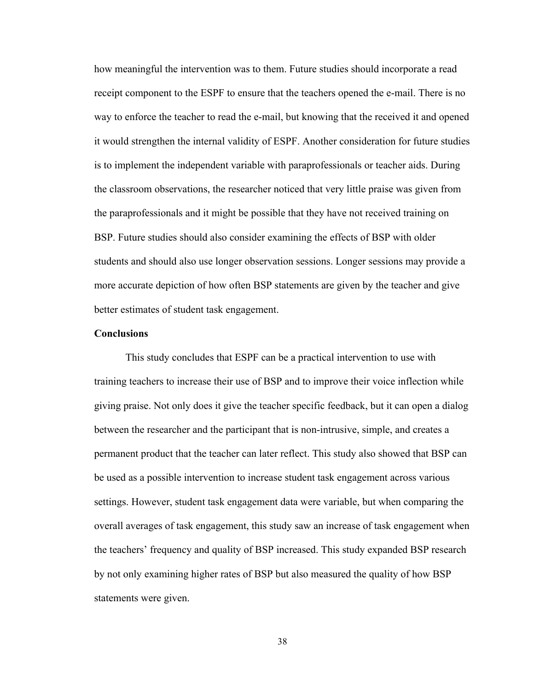how meaningful the intervention was to them. Future studies should incorporate a read receipt component to the ESPF to ensure that the teachers opened the e-mail. There is no way to enforce the teacher to read the e-mail, but knowing that the received it and opened it would strengthen the internal validity of ESPF. Another consideration for future studies is to implement the independent variable with paraprofessionals or teacher aids. During the classroom observations, the researcher noticed that very little praise was given from the paraprofessionals and it might be possible that they have not received training on BSP. Future studies should also consider examining the effects of BSP with older students and should also use longer observation sessions. Longer sessions may provide a more accurate depiction of how often BSP statements are given by the teacher and give better estimates of student task engagement.

### **Conclusions**

This study concludes that ESPF can be a practical intervention to use with training teachers to increase their use of BSP and to improve their voice inflection while giving praise. Not only does it give the teacher specific feedback, but it can open a dialog between the researcher and the participant that is non-intrusive, simple, and creates a permanent product that the teacher can later reflect. This study also showed that BSP can be used as a possible intervention to increase student task engagement across various settings. However, student task engagement data were variable, but when comparing the overall averages of task engagement, this study saw an increase of task engagement when the teachers' frequency and quality of BSP increased. This study expanded BSP research by not only examining higher rates of BSP but also measured the quality of how BSP statements were given.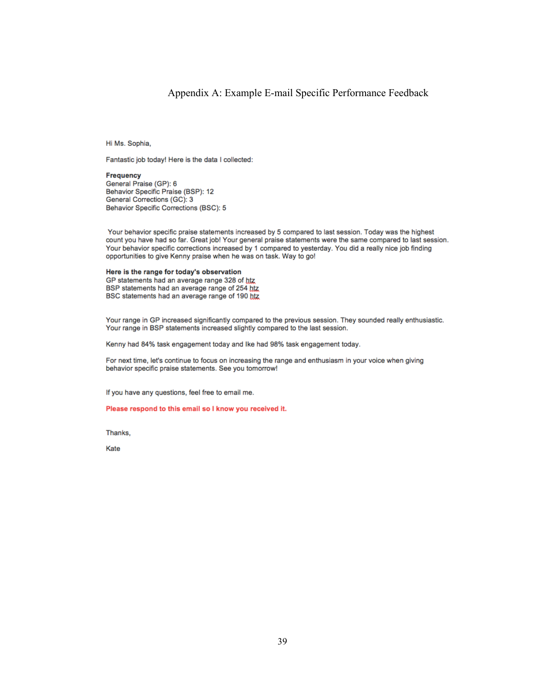### Appendix A: Example E-mail Specific Performance Feedback

Hi Ms. Sophia,

Fantastic job today! Here is the data I collected:

**Frequency** General Praise (GP): 6 Behavior Specific Praise (BSP): 12 General Corrections (GC): 3 Behavior Specific Corrections (BSC): 5

Your behavior specific praise statements increased by 5 compared to last session. Today was the highest count you have had so far. Great job! Your general praise statements were the same compared to last session. Your behavior specific corrections increased by 1 compared to yesterday. You did a really nice job finding opportunities to give Kenny praise when he was on task. Way to go!

#### Here is the range for today's observation

GP statements had an average range 328 of htz BSP statements had an average range of 254 htz BSC statements had an average range of 190 htz

Your range in GP increased significantly compared to the previous session. They sounded really enthusiastic. Your range in BSP statements increased slightly compared to the last session.

Kenny had 84% task engagement today and Ike had 98% task engagement today.

For next time, let's continue to focus on increasing the range and enthusiasm in your voice when giving behavior specific praise statements. See you tomorrow!

If you have any questions, feel free to email me.

Please respond to this email so I know you received it.

Thanks,

Kate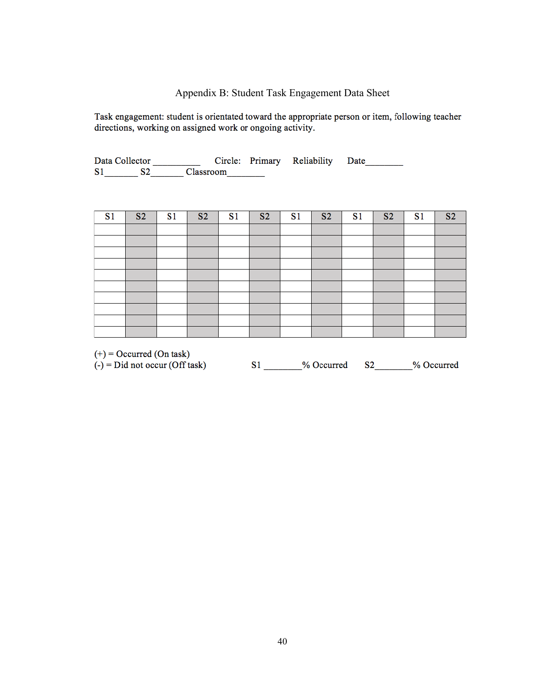### Appendix B: Student Task Engagement Data Sheet

Task engagement: student is orientated toward the appropriate person or item, following teacher directions, working on assigned work or ongoing activity.

Data Collector Circle: Primary Reliability Date

| S <sub>1</sub> | S <sub>2</sub>             | S <sub>1</sub> | S <sub>2</sub> | S <sub>1</sub> | S <sub>2</sub> | S1 | S <sub>2</sub> | S <sub>1</sub> | S <sub>2</sub> | S <sub>1</sub> | S <sub>2</sub> |
|----------------|----------------------------|----------------|----------------|----------------|----------------|----|----------------|----------------|----------------|----------------|----------------|
|                |                            |                |                |                |                |    |                |                |                |                |                |
|                |                            |                |                |                |                |    |                |                |                |                |                |
|                |                            |                |                |                |                |    |                |                |                |                |                |
|                |                            |                |                |                |                |    |                |                |                |                |                |
|                |                            |                |                |                |                |    |                |                |                |                |                |
|                |                            |                |                |                |                |    |                |                |                |                |                |
|                |                            |                |                |                |                |    |                |                |                |                |                |
|                |                            |                |                |                |                |    |                |                |                |                |                |
|                |                            |                |                |                |                |    |                |                |                |                |                |
|                |                            |                |                |                |                |    |                |                |                |                |                |
|                | $(+)$ = Occurred (On task) |                |                |                |                |    |                |                |                |                |                |

 $(-) = Did not occur (Off task)$  S1 % Occurred S2 % Occurred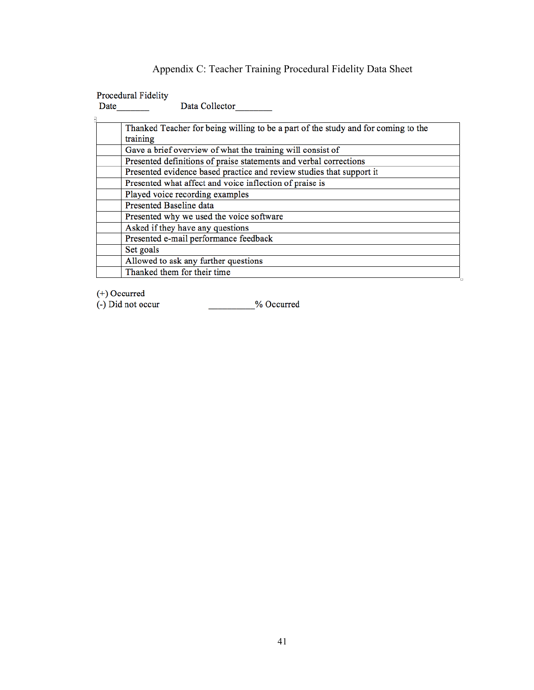# Appendix C: Teacher Training Procedural Fidelity Data Sheet

Procedural Fidelity

| Date | Data Collector                                                                    |
|------|-----------------------------------------------------------------------------------|
|      |                                                                                   |
|      | Thanked Teacher for being willing to be a part of the study and for coming to the |
|      | training                                                                          |
|      | Gave a brief overview of what the training will consist of                        |
|      | Presented definitions of praise statements and verbal corrections                 |
|      | Presented evidence based practice and review studies that support it              |
|      | Presented what affect and voice inflection of praise is                           |
|      | Played voice recording examples                                                   |
|      | Presented Baseline data                                                           |
|      | Presented why we used the voice software                                          |
|      | Asked if they have any questions                                                  |
|      | Presented e-mail performance feedback                                             |
|      | Set goals                                                                         |
|      | Allowed to ask any further questions                                              |
|      | Thanked them for their time                                                       |
|      |                                                                                   |

(+) Occurred<br>(-) Did not occur

\_\_\_\_\_\_\_\_\_\_% Occurred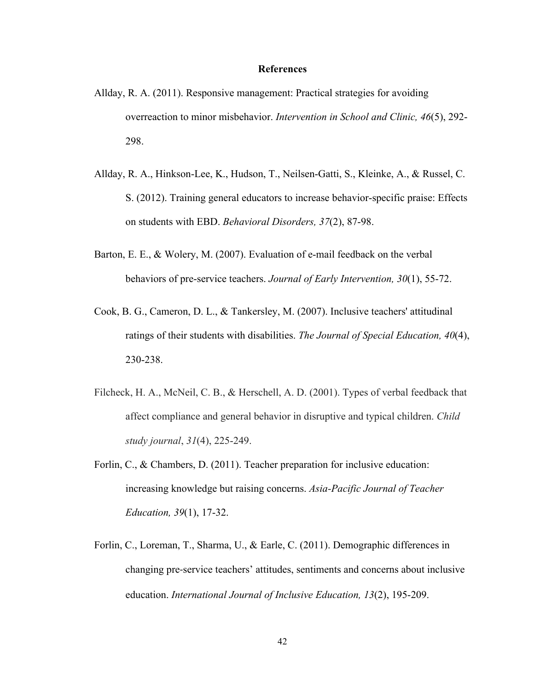### **References**

- Allday, R. A. (2011). Responsive management: Practical strategies for avoiding overreaction to minor misbehavior. *Intervention in School and Clinic, 46*(5), 292- 298.
- Allday, R. A., Hinkson-Lee, K., Hudson, T., Neilsen-Gatti, S., Kleinke, A., & Russel, C. S. (2012). Training general educators to increase behavior-specific praise: Effects on students with EBD. *Behavioral Disorders, 37*(2), 87-98.
- Barton, E. E., & Wolery, M. (2007). Evaluation of e-mail feedback on the verbal behaviors of pre-service teachers. *Journal of Early Intervention, 30*(1), 55-72.
- Cook, B. G., Cameron, D. L., & Tankersley, M. (2007). Inclusive teachers' attitudinal ratings of their students with disabilities. *The Journal of Special Education, 40*(4), 230-238.
- Filcheck, H. A., McNeil, C. B., & Herschell, A. D. (2001). Types of verbal feedback that affect compliance and general behavior in disruptive and typical children. *Child study journal*, *31*(4), 225-249.
- Forlin, C., & Chambers, D. (2011). Teacher preparation for inclusive education: increasing knowledge but raising concerns. *Asia-Pacific Journal of Teacher Education, 39*(1), 17-32.
- Forlin, C., Loreman, T., Sharma, U., & Earle, C. (2011). Demographic differences in changing pre-service teachers' attitudes, sentiments and concerns about inclusive education. *International Journal of Inclusive Education, 13*(2), 195-209.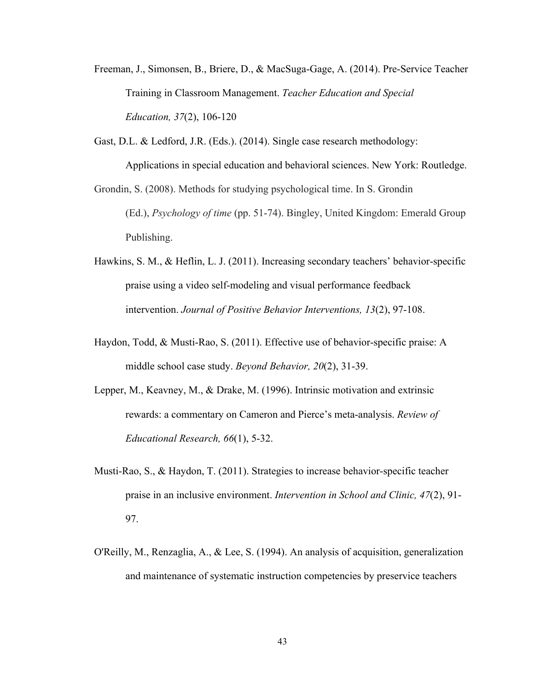- Freeman, J., Simonsen, B., Briere, D., & MacSuga-Gage, A. (2014). Pre-Service Teacher Training in Classroom Management. *Teacher Education and Special Education, 37*(2), 106-120
- Gast, D.L. & Ledford, J.R. (Eds.). (2014). Single case research methodology: Applications in special education and behavioral sciences. New York: Routledge.
- Grondin, S. (2008). Methods for studying psychological time. In S. Grondin (Ed.), *Psychology of time* (pp. 51-74). Bingley, United Kingdom: Emerald Group Publishing.
- Hawkins, S. M., & Heflin, L. J. (2011). Increasing secondary teachers' behavior-specific praise using a video self-modeling and visual performance feedback intervention. *Journal of Positive Behavior Interventions, 13*(2), 97-108.
- Haydon, Todd, & Musti-Rao, S. (2011). Effective use of behavior-specific praise: A middle school case study. *Beyond Behavior, 20*(2), 31-39.
- Lepper, M., Keavney, M., & Drake, M. (1996). Intrinsic motivation and extrinsic rewards: a commentary on Cameron and Pierce's meta-analysis. *Review of Educational Research, 66*(1), 5-32.
- Musti-Rao, S., & Haydon, T. (2011). Strategies to increase behavior-specific teacher praise in an inclusive environment. *Intervention in School and Clinic, 47*(2), 91- 97.
- O'Reilly, M., Renzaglia, A., & Lee, S. (1994). An analysis of acquisition, generalization and maintenance of systematic instruction competencies by preservice teachers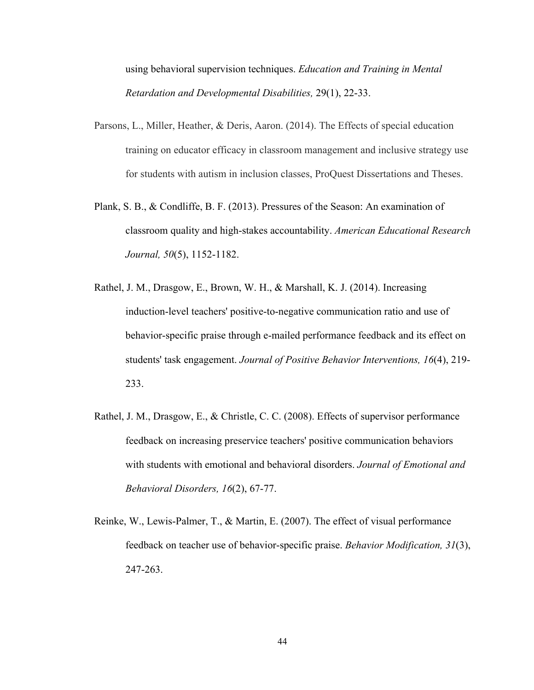using behavioral supervision techniques. *Education and Training in Mental Retardation and Developmental Disabilities,* 29(1), 22-33.

- Parsons, L., Miller, Heather, & Deris, Aaron. (2014). The Effects of special education training on educator efficacy in classroom management and inclusive strategy use for students with autism in inclusion classes, ProQuest Dissertations and Theses.
- Plank, S. B., & Condliffe, B. F. (2013). Pressures of the Season: An examination of classroom quality and high-stakes accountability. *American Educational Research Journal, 50*(5), 1152-1182.
- Rathel, J. M., Drasgow, E., Brown, W. H., & Marshall, K. J. (2014). Increasing induction-level teachers' positive-to-negative communication ratio and use of behavior-specific praise through e-mailed performance feedback and its effect on students' task engagement. *Journal of Positive Behavior Interventions, 16*(4), 219- 233.
- Rathel, J. M., Drasgow, E., & Christle, C. C. (2008). Effects of supervisor performance feedback on increasing preservice teachers' positive communication behaviors with students with emotional and behavioral disorders. *Journal of Emotional and Behavioral Disorders, 16*(2), 67-77.
- Reinke, W., Lewis-Palmer, T., & Martin, E. (2007). The effect of visual performance feedback on teacher use of behavior-specific praise. *Behavior Modification, 31*(3), 247-263.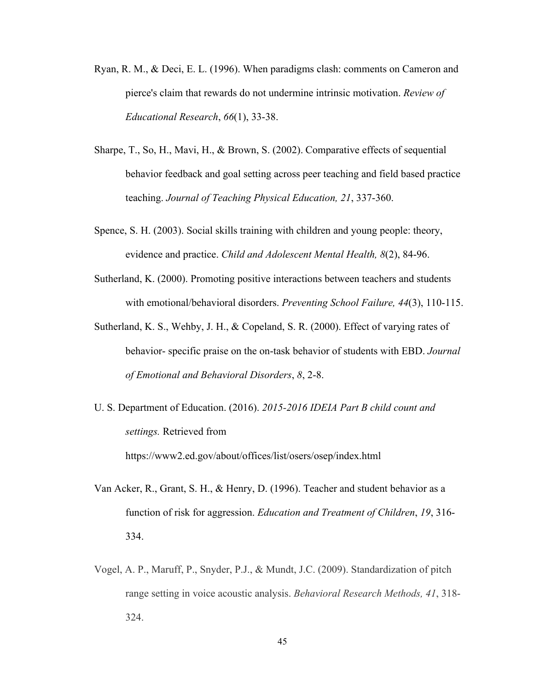- Ryan, R. M., & Deci, E. L. (1996). When paradigms clash: comments on Cameron and pierce's claim that rewards do not undermine intrinsic motivation. *Review of Educational Research*, *66*(1), 33-38.
- Sharpe, T., So, H., Mavi, H., & Brown, S. (2002). Comparative effects of sequential behavior feedback and goal setting across peer teaching and field based practice teaching. *Journal of Teaching Physical Education, 21*, 337-360.
- Spence, S. H. (2003). Social skills training with children and young people: theory, evidence and practice. *Child and Adolescent Mental Health, 8*(2), 84-96.
- Sutherland, K. (2000). Promoting positive interactions between teachers and students with emotional/behavioral disorders. *Preventing School Failure, 44*(3), 110-115.
- Sutherland, K. S., Wehby, J. H., & Copeland, S. R. (2000). Effect of varying rates of behavior- specific praise on the on-task behavior of students with EBD. *Journal of Emotional and Behavioral Disorders*, *8*, 2-8.
- U. S. Department of Education. (2016). *2015-2016 IDEIA Part B child count and settings.* Retrieved from https://www2.ed.gov/about/offices/list/osers/osep/index.html
- Van Acker, R., Grant, S. H., & Henry, D. (1996). Teacher and student behavior as a function of risk for aggression. *Education and Treatment of Children*, *19*, 316- 334.
- Vogel, A. P., Maruff, P., Snyder, P.J., & Mundt, J.C. (2009). Standardization of pitch range setting in voice acoustic analysis. *Behavioral Research Methods, 41*, 318- 324.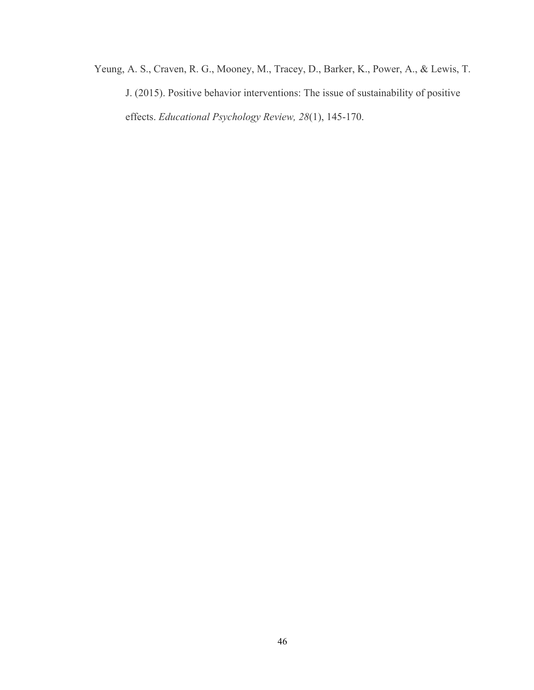Yeung, A. S., Craven, R. G., Mooney, M., Tracey, D., Barker, K., Power, A., & Lewis, T. J. (2015). Positive behavior interventions: The issue of sustainability of positive effects. *Educational Psychology Review, 28*(1), 145-170.